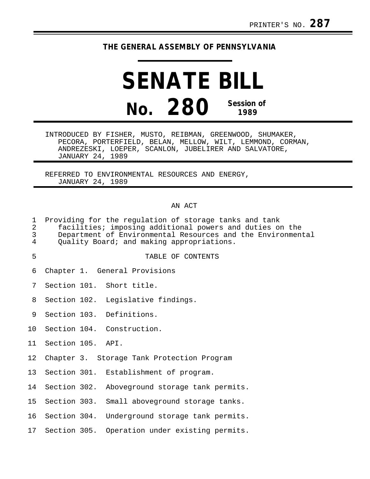## **THE GENERAL ASSEMBLY OF PENNSYLVANIA**

# **SENATE BILL No. 280 Session of 1989**

INTRODUCED BY FISHER, MUSTO, REIBMAN, GREENWOOD, SHUMAKER, PECORA, PORTERFIELD, BELAN, MELLOW, WILT, LEMMOND, CORMAN, ANDREZESKI, LOEPER, SCANLON, JUBELIRER AND SALVATORE, JANUARY 24, 1989

REFERRED TO ENVIRONMENTAL RESOURCES AND ENERGY, JANUARY 24, 1989

#### AN ACT

| $\mathbf 1$<br>$\overline{a}$<br>3<br>4 | Providing for the regulation of storage tanks and tank<br>facilities; imposing additional powers and duties on the<br>Department of Environmental Resources and the Environmental<br>Quality Board; and making appropriations. |  |                                                |  |  |  |
|-----------------------------------------|--------------------------------------------------------------------------------------------------------------------------------------------------------------------------------------------------------------------------------|--|------------------------------------------------|--|--|--|
| 5                                       |                                                                                                                                                                                                                                |  | TABLE OF CONTENTS                              |  |  |  |
| 6                                       |                                                                                                                                                                                                                                |  | Chapter 1. General Provisions                  |  |  |  |
| 7                                       |                                                                                                                                                                                                                                |  | Section 101. Short title.                      |  |  |  |
| 8                                       |                                                                                                                                                                                                                                |  | Section 102. Legislative findings.             |  |  |  |
| 9                                       |                                                                                                                                                                                                                                |  | Section 103. Definitions.                      |  |  |  |
| 10                                      |                                                                                                                                                                                                                                |  | Section 104. Construction.                     |  |  |  |
| 11                                      | Section 105. API.                                                                                                                                                                                                              |  |                                                |  |  |  |
| 12 <sub>1</sub>                         |                                                                                                                                                                                                                                |  | Chapter 3. Storage Tank Protection Program     |  |  |  |
| 13 <sup>°</sup>                         |                                                                                                                                                                                                                                |  | Section 301. Establishment of program.         |  |  |  |
| 14                                      |                                                                                                                                                                                                                                |  | Section 302. Aboveground storage tank permits. |  |  |  |
| 15 <sub>1</sub>                         | Section 303.                                                                                                                                                                                                                   |  | Small aboveground storage tanks.               |  |  |  |
| 16                                      |                                                                                                                                                                                                                                |  | Section 304. Underground storage tank permits. |  |  |  |
| 17                                      |                                                                                                                                                                                                                                |  | Section 305. Operation under existing permits. |  |  |  |
|                                         |                                                                                                                                                                                                                                |  |                                                |  |  |  |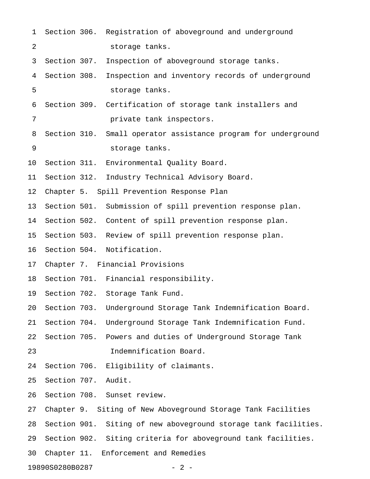| $\mathbf 1$              |              |  | Section 306. Registration of aboveground and underground        |  |  |
|--------------------------|--------------|--|-----------------------------------------------------------------|--|--|
| 2                        |              |  | storage tanks.                                                  |  |  |
| 3                        | Section 307. |  | Inspection of aboveground storage tanks.                        |  |  |
| 4                        | Section 308. |  | Inspection and inventory records of underground                 |  |  |
| 5                        |              |  | storage tanks.                                                  |  |  |
| 6                        |              |  | Section 309. Certification of storage tank installers and       |  |  |
| 7                        |              |  | private tank inspectors.                                        |  |  |
| 8                        | Section 310. |  | Small operator assistance program for underground               |  |  |
| 9                        |              |  | storage tanks.                                                  |  |  |
| 10                       |              |  | Section 311. Environmental Quality Board.                       |  |  |
| 11                       | Section 312. |  | Industry Technical Advisory Board.                              |  |  |
| 12                       |              |  | Chapter 5. Spill Prevention Response Plan                       |  |  |
| 13                       |              |  | Section 501. Submission of spill prevention response plan.      |  |  |
| 14                       |              |  | Section 502. Content of spill prevention response plan.         |  |  |
| 15                       |              |  | Section 503. Review of spill prevention response plan.          |  |  |
| 16                       |              |  | Section 504. Notification.                                      |  |  |
| 17                       |              |  | Chapter 7. Financial Provisions                                 |  |  |
| 18                       |              |  | Section 701. Financial responsibility.                          |  |  |
| 19                       |              |  | Section 702. Storage Tank Fund.                                 |  |  |
| 20                       | Section 703. |  | Underground Storage Tank Indemnification Board.                 |  |  |
| 21                       | Section 704. |  | Underground Storage Tank Indemnification Fund.                  |  |  |
| 22                       | Section 705. |  | Powers and duties of Underground Storage Tank                   |  |  |
| 23                       |              |  | Indemnification Board.                                          |  |  |
| 24                       | Section 706. |  | Eligibility of claimants.                                       |  |  |
| 25                       | Section 707. |  | Audit.                                                          |  |  |
| 26                       |              |  | Section 708. Sunset review.                                     |  |  |
| 27                       |              |  | Chapter 9. Siting of New Aboveground Storage Tank Facilities    |  |  |
| 28                       |              |  | Section 901. Siting of new aboveground storage tank facilities. |  |  |
| 29                       |              |  | Section 902. Siting criteria for aboveground tank facilities.   |  |  |
| 30                       |              |  | Chapter 11. Enforcement and Remedies                            |  |  |
| 19890S0280B0287<br>$-2-$ |              |  |                                                                 |  |  |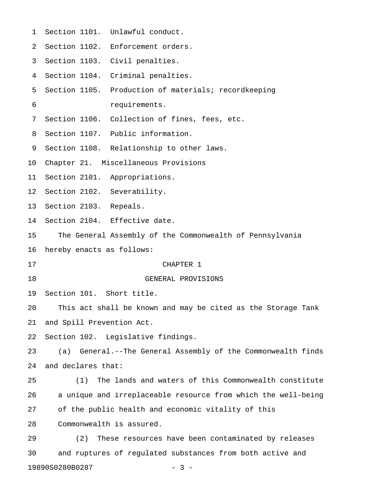| 1  |                                                              | Section 1101. Unlawful conduct.                               |  |  |  |
|----|--------------------------------------------------------------|---------------------------------------------------------------|--|--|--|
| 2  |                                                              | Section 1102. Enforcement orders.                             |  |  |  |
| 3  |                                                              | Section 1103. Civil penalties.                                |  |  |  |
| 4  |                                                              | Section 1104. Criminal penalties.                             |  |  |  |
| 5  |                                                              | Section 1105. Production of materials; recordkeeping          |  |  |  |
| 6  |                                                              | requirements.                                                 |  |  |  |
| 7  |                                                              | Section 1106. Collection of fines, fees, etc.                 |  |  |  |
| 8  |                                                              | Section 1107. Public information.                             |  |  |  |
| 9  |                                                              | Section 1108. Relationship to other laws.                     |  |  |  |
| 10 |                                                              | Chapter 21. Miscellaneous Provisions                          |  |  |  |
| 11 |                                                              | Section 2101. Appropriations.                                 |  |  |  |
| 12 | Section 2102. Severability.                                  |                                                               |  |  |  |
| 13 | Section 2103. Repeals.                                       |                                                               |  |  |  |
| 14 |                                                              | Section 2104. Effective date.                                 |  |  |  |
| 15 |                                                              | The General Assembly of the Commonwealth of Pennsylvania      |  |  |  |
| 16 | hereby enacts as follows:                                    |                                                               |  |  |  |
| 17 |                                                              | CHAPTER 1                                                     |  |  |  |
| 18 |                                                              | GENERAL PROVISIONS                                            |  |  |  |
| 19 | Section 101. Short title.                                    |                                                               |  |  |  |
| 20 | This act shall be known and may be cited as the Storage Tank |                                                               |  |  |  |
| 21 | and Spill Prevention Act.                                    |                                                               |  |  |  |
| 22 | Section 102. Legislative findings.                           |                                                               |  |  |  |
| 23 | (a)                                                          | General.--The General Assembly of the Commonwealth finds      |  |  |  |
| 24 | and declares that:                                           |                                                               |  |  |  |
| 25 | (1)                                                          | The lands and waters of this Commonwealth constitute          |  |  |  |
| 26 |                                                              | a unique and irreplaceable resource from which the well-being |  |  |  |
| 27 | of the public health and economic vitality of this           |                                                               |  |  |  |
| 28 |                                                              | Commonwealth is assured.                                      |  |  |  |
| 29 | (2)                                                          | These resources have been contaminated by releases            |  |  |  |
| 30 |                                                              | and ruptures of regulated substances from both active and     |  |  |  |
|    |                                                              |                                                               |  |  |  |

19890S0280B0287 - 3 -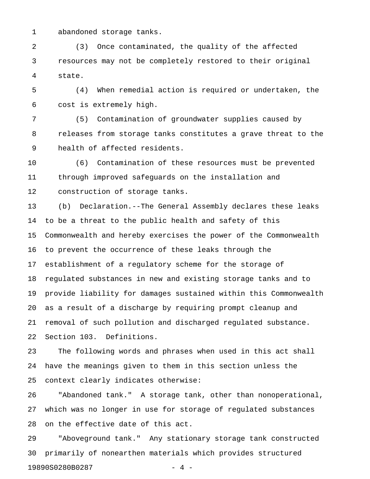1 abandoned storage tanks.

2 (3) Once contaminated, the quality of the affected 3 resources may not be completely restored to their original 4 state.

5 (4) When remedial action is required or undertaken, the 6 cost is extremely high.

7 (5) Contamination of groundwater supplies caused by 8 releases from storage tanks constitutes a grave threat to the 9 health of affected residents.

10 (6) Contamination of these resources must be prevented 11 through improved safeguards on the installation and 12 construction of storage tanks.

13 (b) Declaration.--The General Assembly declares these leaks 14 to be a threat to the public health and safety of this 15 Commonwealth and hereby exercises the power of the Commonwealth 16 to prevent the occurrence of these leaks through the 17 establishment of a regulatory scheme for the storage of 18 regulated substances in new and existing storage tanks and to 19 provide liability for damages sustained within this Commonwealth 20 as a result of a discharge by requiring prompt cleanup and 21 removal of such pollution and discharged regulated substance. 22 Section 103. Definitions.

23 The following words and phrases when used in this act shall 24 have the meanings given to them in this section unless the 25 context clearly indicates otherwise:

26 "Abandoned tank." A storage tank, other than nonoperational, 27 which was no longer in use for storage of regulated substances 28 on the effective date of this act.

29 "Aboveground tank." Any stationary storage tank constructed 30 primarily of nonearthen materials which provides structured 19890S0280B0287 - 4 -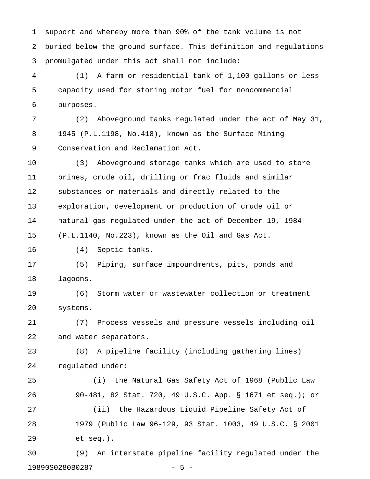1 support and whereby more than 90% of the tank volume is not 2 buried below the ground surface. This definition and regulations 3 promulgated under this act shall not include:

4 (1) A farm or residential tank of 1,100 gallons or less 5 capacity used for storing motor fuel for noncommercial 6 purposes.

7 (2) Aboveground tanks regulated under the act of May 31, 8 1945 (P.L.1198, No.418), known as the Surface Mining 9 Conservation and Reclamation Act.

10 (3) Aboveground storage tanks which are used to store 11 brines, crude oil, drilling or frac fluids and similar 12 substances or materials and directly related to the 13 exploration, development or production of crude oil or 14 natural gas regulated under the act of December 19, 1984 15 (P.L.1140, No.223), known as the Oil and Gas Act.

16 (4) Septic tanks.

17 (5) Piping, surface impoundments, pits, ponds and 18 lagoons.

19 (6) Storm water or wastewater collection or treatment 20 systems.

21 (7) Process vessels and pressure vessels including oil 22 and water separators.

23 (8) A pipeline facility (including gathering lines) 24 regulated under:

25 (i) the Natural Gas Safety Act of 1968 (Public Law 26 90-481, 82 Stat. 720, 49 U.S.C. App. § 1671 et seq.); or 27 (ii) the Hazardous Liquid Pipeline Safety Act of 28 1979 (Public Law 96-129, 93 Stat. 1003, 49 U.S.C. § 2001 29 et seq.).

30 (9) An interstate pipeline facility regulated under the 19890S0280B0287 - 5 -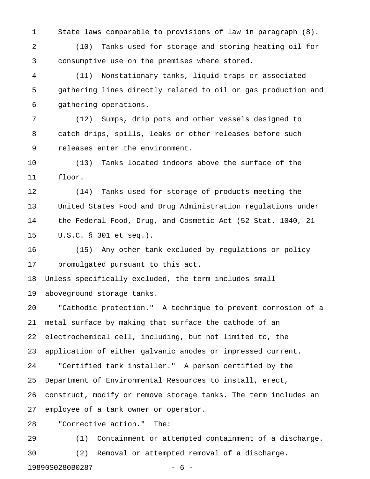1 State laws comparable to provisions of law in paragraph (8).

2 (10) Tanks used for storage and storing heating oil for 3 consumptive use on the premises where stored.

4 (11) Nonstationary tanks, liquid traps or associated 5 gathering lines directly related to oil or gas production and 6 gathering operations.

7 (12) Sumps, drip pots and other vessels designed to 8 catch drips, spills, leaks or other releases before such 9 releases enter the environment.

10 (13) Tanks located indoors above the surface of the 11 floor.

12 (14) Tanks used for storage of products meeting the 13 United States Food and Drug Administration regulations under 14 the Federal Food, Drug, and Cosmetic Act (52 Stat. 1040, 21 15 U.S.C. § 301 et seq.).

16 (15) Any other tank excluded by regulations or policy 17 promulgated pursuant to this act.

18 Unless specifically excluded, the term includes small 19 aboveground storage tanks.

20 "Cathodic protection." A technique to prevent corrosion of a 21 metal surface by making that surface the cathode of an 22 electrochemical cell, including, but not limited to, the 23 application of either galvanic anodes or impressed current. 24 "Certified tank installer." A person certified by the 25 Department of Environmental Resources to install, erect, 26 construct, modify or remove storage tanks. The term includes an 27 employee of a tank owner or operator.

28 "Corrective action." The:

29 (1) Containment or attempted containment of a discharge. 30 (2) Removal or attempted removal of a discharge.

19890S0280B0287 - 6 -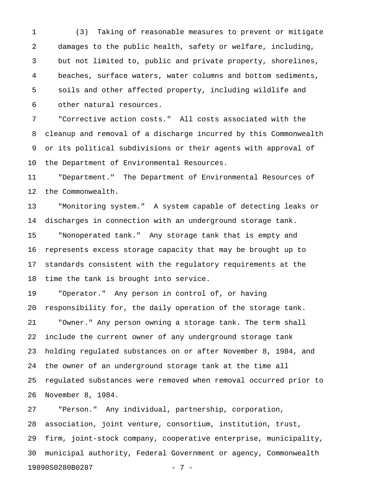1 (3) Taking of reasonable measures to prevent or mitigate 2 damages to the public health, safety or welfare, including, 3 but not limited to, public and private property, shorelines, 4 beaches, surface waters, water columns and bottom sediments, 5 soils and other affected property, including wildlife and 6 other natural resources.

7 "Corrective action costs." All costs associated with the 8 cleanup and removal of a discharge incurred by this Commonwealth 9 or its political subdivisions or their agents with approval of 10 the Department of Environmental Resources.

11 "Department." The Department of Environmental Resources of 12 the Commonwealth.

13 "Monitoring system." A system capable of detecting leaks or 14 discharges in connection with an underground storage tank.

15 "Nonoperated tank." Any storage tank that is empty and 16 represents excess storage capacity that may be brought up to 17 standards consistent with the regulatory requirements at the 18 time the tank is brought into service.

19 "Operator." Any person in control of, or having 20 responsibility for, the daily operation of the storage tank. 21 "Owner." Any person owning a storage tank. The term shall 22 include the current owner of any underground storage tank 23 holding regulated substances on or after November 8, 1984, and 24 the owner of an underground storage tank at the time all 25 regulated substances were removed when removal occurred prior to 26 November 8, 1984.

27 "Person." Any individual, partnership, corporation, 28 association, joint venture, consortium, institution, trust, 29 firm, joint-stock company, cooperative enterprise, municipality, 30 municipal authority, Federal Government or agency, Commonwealth 19890S0280B0287 - 7 -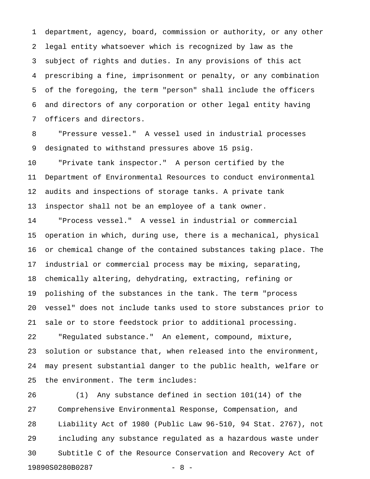1 department, agency, board, commission or authority, or any other 2 legal entity whatsoever which is recognized by law as the 3 subject of rights and duties. In any provisions of this act 4 prescribing a fine, imprisonment or penalty, or any combination 5 of the foregoing, the term "person" shall include the officers 6 and directors of any corporation or other legal entity having 7 officers and directors.

8 "Pressure vessel." A vessel used in industrial processes 9 designated to withstand pressures above 15 psig.

10 "Private tank inspector." A person certified by the 11 Department of Environmental Resources to conduct environmental 12 audits and inspections of storage tanks. A private tank 13 inspector shall not be an employee of a tank owner.

14 "Process vessel." A vessel in industrial or commercial 15 operation in which, during use, there is a mechanical, physical 16 or chemical change of the contained substances taking place. The 17 industrial or commercial process may be mixing, separating, 18 chemically altering, dehydrating, extracting, refining or 19 polishing of the substances in the tank. The term "process 20 vessel" does not include tanks used to store substances prior to 21 sale or to store feedstock prior to additional processing. 22 "Regulated substance." An element, compound, mixture, 23 solution or substance that, when released into the environment, 24 may present substantial danger to the public health, welfare or 25 the environment. The term includes:

26 (1) Any substance defined in section 101(14) of the 27 Comprehensive Environmental Response, Compensation, and 28 Liability Act of 1980 (Public Law 96-510, 94 Stat. 2767), not 29 including any substance regulated as a hazardous waste under 30 Subtitle C of the Resource Conservation and Recovery Act of 19890S0280B0287 - 8 -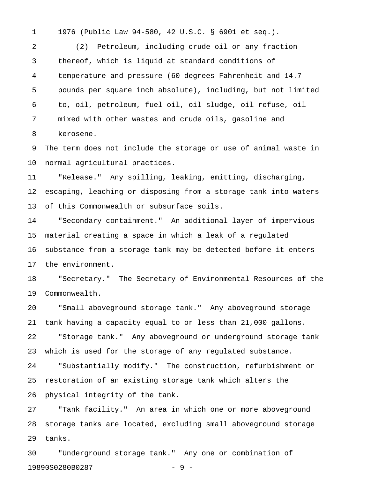1 1976 (Public Law 94-580, 42 U.S.C. § 6901 et seq.).

2 (2) Petroleum, including crude oil or any fraction 3 thereof, which is liquid at standard conditions of 4 temperature and pressure (60 degrees Fahrenheit and 14.7 5 pounds per square inch absolute), including, but not limited 6 to, oil, petroleum, fuel oil, oil sludge, oil refuse, oil 7 mixed with other wastes and crude oils, gasoline and 8 kerosene.

9 The term does not include the storage or use of animal waste in 10 normal agricultural practices.

11 "Release." Any spilling, leaking, emitting, discharging, 12 escaping, leaching or disposing from a storage tank into waters 13 of this Commonwealth or subsurface soils.

14 "Secondary containment." An additional layer of impervious 15 material creating a space in which a leak of a regulated 16 substance from a storage tank may be detected before it enters 17 the environment.

18 "Secretary." The Secretary of Environmental Resources of the 19 Commonwealth.

20 "Small aboveground storage tank." Any aboveground storage 21 tank having a capacity equal to or less than 21,000 gallons. 22 "Storage tank." Any aboveground or underground storage tank

23 which is used for the storage of any regulated substance.

24 "Substantially modify." The construction, refurbishment or 25 restoration of an existing storage tank which alters the 26 physical integrity of the tank.

27 "Tank facility." An area in which one or more aboveground 28 storage tanks are located, excluding small aboveground storage 29 tanks.

30 "Underground storage tank." Any one or combination of 19890S0280B0287 - 9 -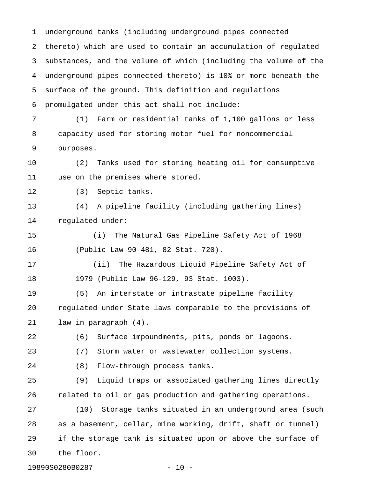1 underground tanks (including underground pipes connected 2 thereto) which are used to contain an accumulation of regulated 3 substances, and the volume of which (including the volume of the 4 underground pipes connected thereto) is 10% or more beneath the 5 surface of the ground. This definition and regulations 6 promulgated under this act shall not include: 7 (1) Farm or residential tanks of 1,100 gallons or less 8 capacity used for storing motor fuel for noncommercial 9 purposes. 10 (2) Tanks used for storing heating oil for consumptive 11 use on the premises where stored. 12 (3) Septic tanks. 13 (4) A pipeline facility (including gathering lines) 14 regulated under: 15 (i) The Natural Gas Pipeline Safety Act of 1968 16 (Public Law 90-481, 82 Stat. 720). 17 (ii) The Hazardous Liquid Pipeline Safety Act of 18 1979 (Public Law 96-129, 93 Stat. 1003). 19 (5) An interstate or intrastate pipeline facility 20 regulated under State laws comparable to the provisions of 21 law in paragraph (4). 22 (6) Surface impoundments, pits, ponds or lagoons. 23 (7) Storm water or wastewater collection systems. 24 (8) Flow-through process tanks. 25 (9) Liquid traps or associated gathering lines directly 26 related to oil or gas production and gathering operations. 27 (10) Storage tanks situated in an underground area (such 28 as a basement, cellar, mine working, drift, shaft or tunnel) 29 if the storage tank is situated upon or above the surface of 30 the floor.

19890S0280B0287 - 10 -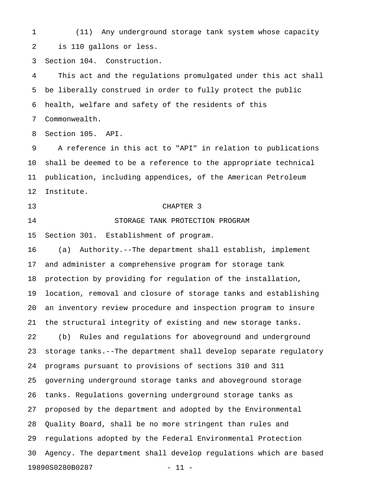1 (11) Any underground storage tank system whose capacity 2 is 110 gallons or less.

3 Section 104. Construction.

4 This act and the regulations promulgated under this act shall 5 be liberally construed in order to fully protect the public 6 health, welfare and safety of the residents of this

7 Commonwealth.

8 Section 105. API.

9 A reference in this act to "API" in relation to publications 10 shall be deemed to be a reference to the appropriate technical 11 publication, including appendices, of the American Petroleum 12 Institute.

## 13 CHAPTER 3

14 STORAGE TANK PROTECTION PROGRAM

15 Section 301. Establishment of program.

16 (a) Authority.--The department shall establish, implement 17 and administer a comprehensive program for storage tank 18 protection by providing for regulation of the installation, 19 location, removal and closure of storage tanks and establishing 20 an inventory review procedure and inspection program to insure 21 the structural integrity of existing and new storage tanks. 22 (b) Rules and regulations for aboveground and underground 23 storage tanks.--The department shall develop separate regulatory 24 programs pursuant to provisions of sections 310 and 311 25 governing underground storage tanks and aboveground storage 26 tanks. Regulations governing underground storage tanks as 27 proposed by the department and adopted by the Environmental 28 Quality Board, shall be no more stringent than rules and 29 regulations adopted by the Federal Environmental Protection 30 Agency. The department shall develop regulations which are based 19890S0280B0287 - 11 -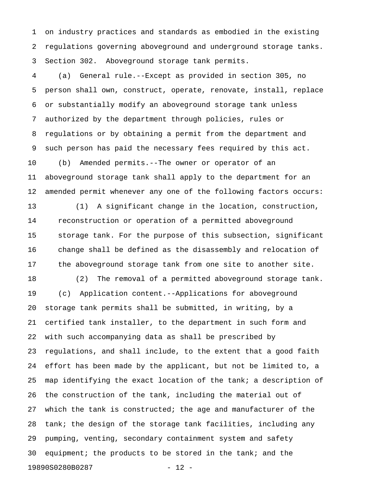1 on industry practices and standards as embodied in the existing 2 regulations governing aboveground and underground storage tanks. 3 Section 302. Aboveground storage tank permits.

4 (a) General rule.--Except as provided in section 305, no 5 person shall own, construct, operate, renovate, install, replace 6 or substantially modify an aboveground storage tank unless 7 authorized by the department through policies, rules or 8 regulations or by obtaining a permit from the department and 9 such person has paid the necessary fees required by this act. 10 (b) Amended permits.--The owner or operator of an 11 aboveground storage tank shall apply to the department for an 12 amended permit whenever any one of the following factors occurs:

13 (1) A significant change in the location, construction, 14 reconstruction or operation of a permitted aboveground 15 storage tank. For the purpose of this subsection, significant 16 change shall be defined as the disassembly and relocation of 17 the aboveground storage tank from one site to another site.

18 (2) The removal of a permitted aboveground storage tank. 19 (c) Application content.--Applications for aboveground 20 storage tank permits shall be submitted, in writing, by a 21 certified tank installer, to the department in such form and 22 with such accompanying data as shall be prescribed by 23 regulations, and shall include, to the extent that a good faith 24 effort has been made by the applicant, but not be limited to, a 25 map identifying the exact location of the tank; a description of 26 the construction of the tank, including the material out of 27 which the tank is constructed; the age and manufacturer of the 28 tank; the design of the storage tank facilities, including any 29 pumping, venting, secondary containment system and safety 30 equipment; the products to be stored in the tank; and the 19890S0280B0287 - 12 -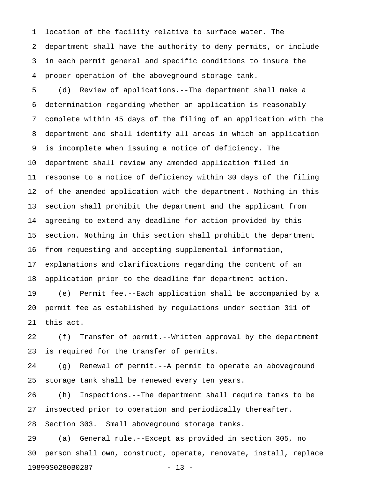1 location of the facility relative to surface water. The 2 department shall have the authority to deny permits, or include 3 in each permit general and specific conditions to insure the 4 proper operation of the aboveground storage tank.

5 (d) Review of applications.--The department shall make a 6 determination regarding whether an application is reasonably 7 complete within 45 days of the filing of an application with the 8 department and shall identify all areas in which an application 9 is incomplete when issuing a notice of deficiency. The 10 department shall review any amended application filed in 11 response to a notice of deficiency within 30 days of the filing 12 of the amended application with the department. Nothing in this 13 section shall prohibit the department and the applicant from 14 agreeing to extend any deadline for action provided by this 15 section. Nothing in this section shall prohibit the department 16 from requesting and accepting supplemental information, 17 explanations and clarifications regarding the content of an 18 application prior to the deadline for department action.

19 (e) Permit fee.--Each application shall be accompanied by a 20 permit fee as established by regulations under section 311 of 21 this act.

22 (f) Transfer of permit.--Written approval by the department 23 is required for the transfer of permits.

24 (g) Renewal of permit.--A permit to operate an aboveground 25 storage tank shall be renewed every ten years.

26 (h) Inspections.--The department shall require tanks to be 27 inspected prior to operation and periodically thereafter. 28 Section 303. Small aboveground storage tanks.

29 (a) General rule.--Except as provided in section 305, no 30 person shall own, construct, operate, renovate, install, replace 19890S0280B0287 - 13 -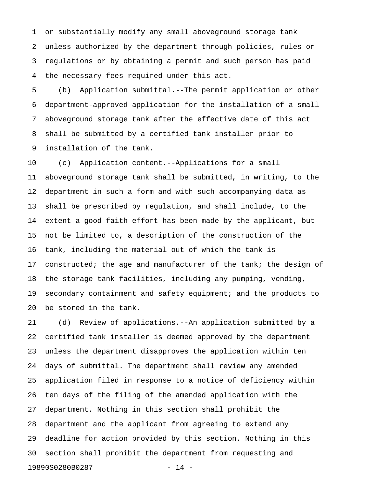1 or substantially modify any small aboveground storage tank 2 unless authorized by the department through policies, rules or 3 regulations or by obtaining a permit and such person has paid 4 the necessary fees required under this act.

5 (b) Application submittal.--The permit application or other 6 department-approved application for the installation of a small 7 aboveground storage tank after the effective date of this act 8 shall be submitted by a certified tank installer prior to 9 installation of the tank.

10 (c) Application content.--Applications for a small 11 aboveground storage tank shall be submitted, in writing, to the 12 department in such a form and with such accompanying data as 13 shall be prescribed by regulation, and shall include, to the 14 extent a good faith effort has been made by the applicant, but 15 not be limited to, a description of the construction of the 16 tank, including the material out of which the tank is 17 constructed; the age and manufacturer of the tank; the design of 18 the storage tank facilities, including any pumping, vending, 19 secondary containment and safety equipment; and the products to 20 be stored in the tank.

21 (d) Review of applications.--An application submitted by a 22 certified tank installer is deemed approved by the department 23 unless the department disapproves the application within ten 24 days of submittal. The department shall review any amended 25 application filed in response to a notice of deficiency within 26 ten days of the filing of the amended application with the 27 department. Nothing in this section shall prohibit the 28 department and the applicant from agreeing to extend any 29 deadline for action provided by this section. Nothing in this 30 section shall prohibit the department from requesting and 19890S0280B0287 - 14 -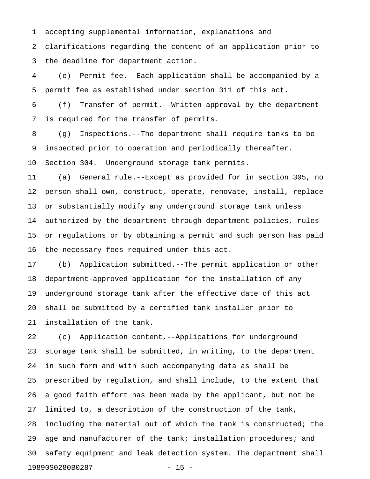1 accepting supplemental information, explanations and

2 clarifications regarding the content of an application prior to 3 the deadline for department action.

4 (e) Permit fee.--Each application shall be accompanied by a 5 permit fee as established under section 311 of this act.

6 (f) Transfer of permit.--Written approval by the department 7 is required for the transfer of permits.

8 (g) Inspections.--The department shall require tanks to be 9 inspected prior to operation and periodically thereafter.

10 Section 304. Underground storage tank permits.

11 (a) General rule.--Except as provided for in section 305, no 12 person shall own, construct, operate, renovate, install, replace 13 or substantially modify any underground storage tank unless 14 authorized by the department through department policies, rules 15 or regulations or by obtaining a permit and such person has paid 16 the necessary fees required under this act.

17 (b) Application submitted.--The permit application or other 18 department-approved application for the installation of any 19 underground storage tank after the effective date of this act 20 shall be submitted by a certified tank installer prior to 21 installation of the tank.

22 (c) Application content.--Applications for underground 23 storage tank shall be submitted, in writing, to the department 24 in such form and with such accompanying data as shall be 25 prescribed by regulation, and shall include, to the extent that 26 a good faith effort has been made by the applicant, but not be 27 limited to, a description of the construction of the tank, 28 including the material out of which the tank is constructed; the 29 age and manufacturer of the tank; installation procedures; and 30 safety equipment and leak detection system. The department shall 19890S0280B0287 - 15 -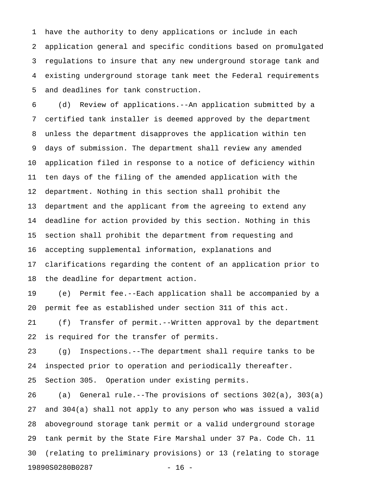1 have the authority to deny applications or include in each 2 application general and specific conditions based on promulgated 3 regulations to insure that any new underground storage tank and 4 existing underground storage tank meet the Federal requirements 5 and deadlines for tank construction.

6 (d) Review of applications.--An application submitted by a 7 certified tank installer is deemed approved by the department 8 unless the department disapproves the application within ten 9 days of submission. The department shall review any amended 10 application filed in response to a notice of deficiency within 11 ten days of the filing of the amended application with the 12 department. Nothing in this section shall prohibit the 13 department and the applicant from the agreeing to extend any 14 deadline for action provided by this section. Nothing in this 15 section shall prohibit the department from requesting and 16 accepting supplemental information, explanations and 17 clarifications regarding the content of an application prior to 18 the deadline for department action.

19 (e) Permit fee.--Each application shall be accompanied by a 20 permit fee as established under section 311 of this act.

21 (f) Transfer of permit.--Written approval by the department 22 is required for the transfer of permits.

23 (g) Inspections.--The department shall require tanks to be 24 inspected prior to operation and periodically thereafter.

25 Section 305. Operation under existing permits.

26 (a) General rule.--The provisions of sections 302(a), 303(a) 27 and 304(a) shall not apply to any person who was issued a valid 28 aboveground storage tank permit or a valid underground storage 29 tank permit by the State Fire Marshal under 37 Pa. Code Ch. 11 30 (relating to preliminary provisions) or 13 (relating to storage 19890S0280B0287 - 16 -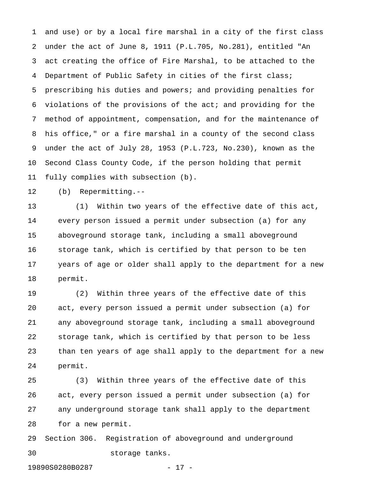1 and use) or by a local fire marshal in a city of the first class 2 under the act of June 8, 1911 (P.L.705, No.281), entitled "An 3 act creating the office of Fire Marshal, to be attached to the 4 Department of Public Safety in cities of the first class; 5 prescribing his duties and powers; and providing penalties for 6 violations of the provisions of the act; and providing for the 7 method of appointment, compensation, and for the maintenance of 8 his office," or a fire marshal in a county of the second class 9 under the act of July 28, 1953 (P.L.723, No.230), known as the 10 Second Class County Code, if the person holding that permit 11 fully complies with subsection (b).

12 (b) Repermitting.--

13 (1) Within two years of the effective date of this act, 14 every person issued a permit under subsection (a) for any 15 aboveground storage tank, including a small aboveground 16 storage tank, which is certified by that person to be ten 17 years of age or older shall apply to the department for a new 18 permit.

19 (2) Within three years of the effective date of this 20 act, every person issued a permit under subsection (a) for 21 any aboveground storage tank, including a small aboveground 22 storage tank, which is certified by that person to be less 23 than ten years of age shall apply to the department for a new 24 permit.

25 (3) Within three years of the effective date of this 26 act, every person issued a permit under subsection (a) for 27 any underground storage tank shall apply to the department 28 for a new permit.

29 Section 306. Registration of aboveground and underground 30 storage tanks.

19890S0280B0287 - 17 -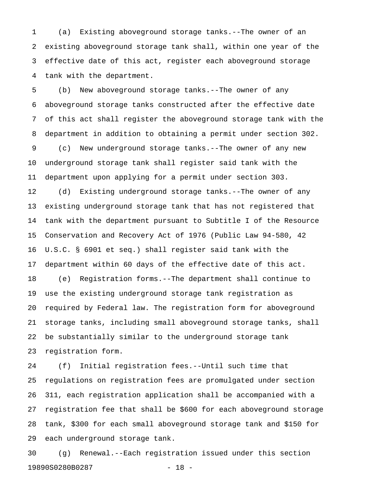1 (a) Existing aboveground storage tanks.--The owner of an 2 existing aboveground storage tank shall, within one year of the 3 effective date of this act, register each aboveground storage 4 tank with the department.

5 (b) New aboveground storage tanks.--The owner of any 6 aboveground storage tanks constructed after the effective date 7 of this act shall register the aboveground storage tank with the 8 department in addition to obtaining a permit under section 302. 9 (c) New underground storage tanks.--The owner of any new 10 underground storage tank shall register said tank with the 11 department upon applying for a permit under section 303.

12 (d) Existing underground storage tanks.--The owner of any 13 existing underground storage tank that has not registered that 14 tank with the department pursuant to Subtitle I of the Resource 15 Conservation and Recovery Act of 1976 (Public Law 94-580, 42 16 U.S.C. § 6901 et seq.) shall register said tank with the 17 department within 60 days of the effective date of this act. 18 (e) Registration forms.--The department shall continue to 19 use the existing underground storage tank registration as 20 required by Federal law. The registration form for aboveground 21 storage tanks, including small aboveground storage tanks, shall 22 be substantially similar to the underground storage tank 23 registration form.

24 (f) Initial registration fees.--Until such time that 25 regulations on registration fees are promulgated under section 26 311, each registration application shall be accompanied with a 27 registration fee that shall be \$600 for each aboveground storage 28 tank, \$300 for each small aboveground storage tank and \$150 for 29 each underground storage tank.

30 (g) Renewal.--Each registration issued under this section 19890S0280B0287 - 18 -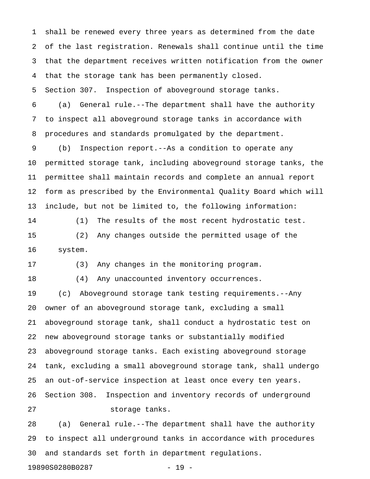1 shall be renewed every three years as determined from the date 2 of the last registration. Renewals shall continue until the time 3 that the department receives written notification from the owner 4 that the storage tank has been permanently closed.

5 Section 307. Inspection of aboveground storage tanks.

6 (a) General rule.--The department shall have the authority 7 to inspect all aboveground storage tanks in accordance with 8 procedures and standards promulgated by the department.

9 (b) Inspection report.--As a condition to operate any 10 permitted storage tank, including aboveground storage tanks, the 11 permittee shall maintain records and complete an annual report 12 form as prescribed by the Environmental Quality Board which will 13 include, but not be limited to, the following information:

14 (1) The results of the most recent hydrostatic test. 15 (2) Any changes outside the permitted usage of the 16 system.

17 (3) Any changes in the monitoring program.

18 (4) Any unaccounted inventory occurrences.

19 (c) Aboveground storage tank testing requirements.--Any 20 owner of an aboveground storage tank, excluding a small 21 aboveground storage tank, shall conduct a hydrostatic test on 22 new aboveground storage tanks or substantially modified 23 aboveground storage tanks. Each existing aboveground storage 24 tank, excluding a small aboveground storage tank, shall undergo 25 an out-of-service inspection at least once every ten years. 26 Section 308. Inspection and inventory records of underground 27 storage tanks.

28 (a) General rule.--The department shall have the authority 29 to inspect all underground tanks in accordance with procedures 30 and standards set forth in department regulations.

19890S0280B0287 - 19 -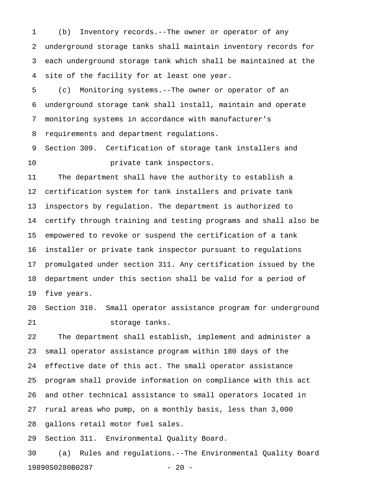1 (b) Inventory records.--The owner or operator of any 2 underground storage tanks shall maintain inventory records for 3 each underground storage tank which shall be maintained at the 4 site of the facility for at least one year.

5 (c) Monitoring systems.--The owner or operator of an 6 underground storage tank shall install, maintain and operate 7 monitoring systems in accordance with manufacturer's 8 requirements and department regulations.

9 Section 309. Certification of storage tank installers and 10 **private tank inspectors.** 

11 The department shall have the authority to establish a 12 certification system for tank installers and private tank 13 inspectors by regulation. The department is authorized to 14 certify through training and testing programs and shall also be 15 empowered to revoke or suspend the certification of a tank 16 installer or private tank inspector pursuant to regulations 17 promulgated under section 311. Any certification issued by the 18 department under this section shall be valid for a period of 19 five years.

20 Section 310. Small operator assistance program for underground 21 storage tanks.

22 The department shall establish, implement and administer a 23 small operator assistance program within 180 days of the 24 effective date of this act. The small operator assistance 25 program shall provide information on compliance with this act 26 and other technical assistance to small operators located in 27 rural areas who pump, on a monthly basis, less than 3,000 28 gallons retail motor fuel sales.

29 Section 311. Environmental Quality Board.

30 (a) Rules and regulations.--The Environmental Quality Board 19890S0280B0287 - 20 -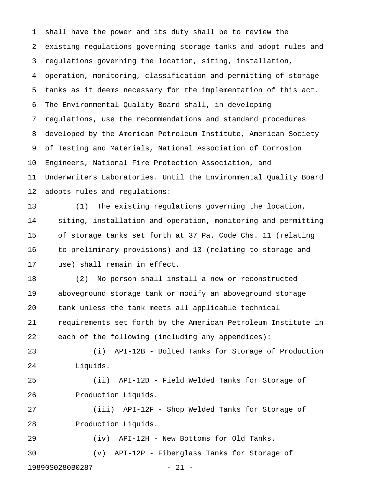1 shall have the power and its duty shall be to review the 2 existing regulations governing storage tanks and adopt rules and 3 regulations governing the location, siting, installation, 4 operation, monitoring, classification and permitting of storage 5 tanks as it deems necessary for the implementation of this act. 6 The Environmental Quality Board shall, in developing 7 regulations, use the recommendations and standard procedures 8 developed by the American Petroleum Institute, American Society 9 of Testing and Materials, National Association of Corrosion 10 Engineers, National Fire Protection Association, and 11 Underwriters Laboratories. Until the Environmental Quality Board 12 adopts rules and regulations:

13 (1) The existing regulations governing the location, 14 siting, installation and operation, monitoring and permitting 15 of storage tanks set forth at 37 Pa. Code Chs. 11 (relating 16 to preliminary provisions) and 13 (relating to storage and 17 use) shall remain in effect.

18 (2) No person shall install a new or reconstructed 19 aboveground storage tank or modify an aboveground storage 20 tank unless the tank meets all applicable technical 21 requirements set forth by the American Petroleum Institute in 22 each of the following (including any appendices):

23 (i) API-12B - Bolted Tanks for Storage of Production 24 Liquids.

25 (ii) API-12D - Field Welded Tanks for Storage of 26 Production Liquids.

27 (iii) API-12F - Shop Welded Tanks for Storage of 28 Production Liquids.

29 (iv) API-12H - New Bottoms for Old Tanks. 30 (v) API-12P - Fiberglass Tanks for Storage of

19890S0280B0287 - 21 -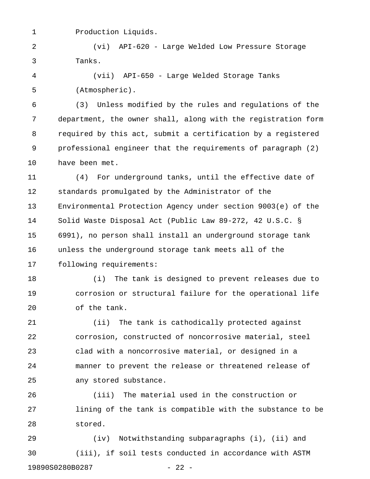1 Production Liquids.

2 (vi) API-620 - Large Welded Low Pressure Storage 3 Tanks.

4 (vii) API-650 - Large Welded Storage Tanks 5 (Atmospheric).

6 (3) Unless modified by the rules and regulations of the 7 department, the owner shall, along with the registration form 8 required by this act, submit a certification by a registered 9 professional engineer that the requirements of paragraph (2) 10 have been met.

11 (4) For underground tanks, until the effective date of 12 standards promulgated by the Administrator of the 13 Environmental Protection Agency under section 9003(e) of the 14 Solid Waste Disposal Act (Public Law 89-272, 42 U.S.C. § 15 6991), no person shall install an underground storage tank 16 unless the underground storage tank meets all of the 17 following requirements:

18 (i) The tank is designed to prevent releases due to 19 corrosion or structural failure for the operational life 20 of the tank.

21 (ii) The tank is cathodically protected against 22 corrosion, constructed of noncorrosive material, steel 23 clad with a noncorrosive material, or designed in a 24 manner to prevent the release or threatened release of 25 any stored substance.

26 (iii) The material used in the construction or 27 lining of the tank is compatible with the substance to be 28 stored.

29 (iv) Notwithstanding subparagraphs (i), (ii) and 30 (iii), if soil tests conducted in accordance with ASTM 19890S0280B0287 - 22 -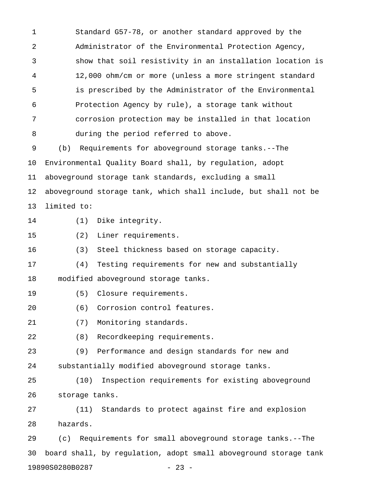1 Standard G57-78, or another standard approved by the 2 Administrator of the Environmental Protection Agency, 3 show that soil resistivity in an installation location is 4 12,000 ohm/cm or more (unless a more stringent standard 5 is prescribed by the Administrator of the Environmental 6 Protection Agency by rule), a storage tank without 7 corrosion protection may be installed in that location 8 during the period referred to above. 9 (b) Requirements for aboveground storage tanks.--The

10 Environmental Quality Board shall, by regulation, adopt 11 aboveground storage tank standards, excluding a small 12 aboveground storage tank, which shall include, but shall not be 13 limited to:

- 
- 14 (1) Dike integrity.
- 15 (2) Liner requirements.

16 (3) Steel thickness based on storage capacity.

17 (4) Testing requirements for new and substantially 18 modified aboveground storage tanks.

- 19 (5) Closure requirements.
- 20 (6) Corrosion control features.
- 21 (7) Monitoring standards.
- 22 (8) Recordkeeping requirements.

23 (9) Performance and design standards for new and 24 substantially modified aboveground storage tanks.

25 (10) Inspection requirements for existing aboveground 26 storage tanks.

27 (11) Standards to protect against fire and explosion 28 hazards.

29 (c) Requirements for small aboveground storage tanks.--The 30 board shall, by regulation, adopt small aboveground storage tank 19890S0280B0287 - 23 -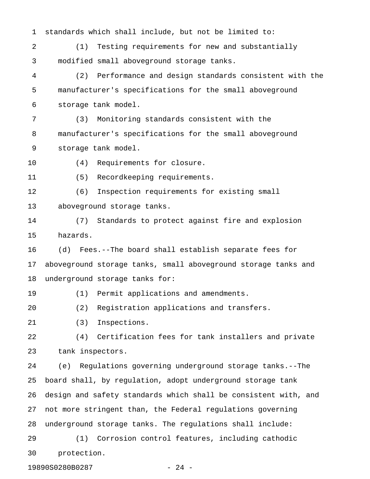1 standards which shall include, but not be limited to: 2 (1) Testing requirements for new and substantially 3 modified small aboveground storage tanks. 4 (2) Performance and design standards consistent with the 5 manufacturer's specifications for the small aboveground 6 storage tank model. 7 (3) Monitoring standards consistent with the 8 manufacturer's specifications for the small aboveground 9 storage tank model. 10 (4) Requirements for closure. 11 (5) Recordkeeping requirements. 12 (6) Inspection requirements for existing small 13 aboveground storage tanks. 14 (7) Standards to protect against fire and explosion 15 hazards. 16 (d) Fees.--The board shall establish separate fees for 17 aboveground storage tanks, small aboveground storage tanks and 18 underground storage tanks for: 19 (1) Permit applications and amendments. 20 (2) Registration applications and transfers. 21 (3) Inspections. 22 (4) Certification fees for tank installers and private 23 tank inspectors. 24 (e) Regulations governing underground storage tanks.--The 25 board shall, by regulation, adopt underground storage tank 26 design and safety standards which shall be consistent with, and 27 not more stringent than, the Federal regulations governing 28 underground storage tanks. The regulations shall include: 29 (1) Corrosion control features, including cathodic 30 protection.

19890S0280B0287 - 24 -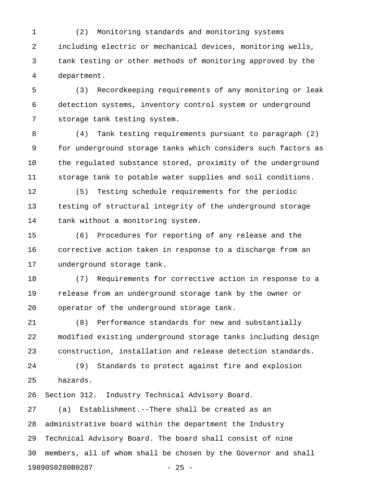1 (2) Monitoring standards and monitoring systems 2 including electric or mechanical devices, monitoring wells, 3 tank testing or other methods of monitoring approved by the 4 department.

5 (3) Recordkeeping requirements of any monitoring or leak 6 detection systems, inventory control system or underground 7 storage tank testing system.

8 (4) Tank testing requirements pursuant to paragraph (2) 9 for underground storage tanks which considers such factors as 10 the regulated substance stored, proximity of the underground 11 storage tank to potable water supplies and soil conditions.

12 (5) Testing schedule requirements for the periodic 13 testing of structural integrity of the underground storage 14 tank without a monitoring system.

15 (6) Procedures for reporting of any release and the 16 corrective action taken in response to a discharge from an 17 underground storage tank.

18 (7) Requirements for corrective action in response to a 19 release from an underground storage tank by the owner or 20 operator of the underground storage tank.

21 (8) Performance standards for new and substantially 22 modified existing underground storage tanks including design 23 construction, installation and release detection standards.

24 (9) Standards to protect against fire and explosion 25 hazards.

26 Section 312. Industry Technical Advisory Board.

27 (a) Establishment.--There shall be created as an 28 administrative board within the department the Industry 29 Technical Advisory Board. The board shall consist of nine 30 members, all of whom shall be chosen by the Governor and shall 19890S0280B0287 - 25 -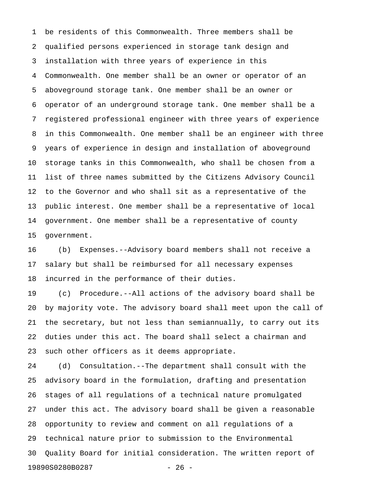1 be residents of this Commonwealth. Three members shall be 2 qualified persons experienced in storage tank design and 3 installation with three years of experience in this 4 Commonwealth. One member shall be an owner or operator of an 5 aboveground storage tank. One member shall be an owner or 6 operator of an underground storage tank. One member shall be a 7 registered professional engineer with three years of experience 8 in this Commonwealth. One member shall be an engineer with three 9 years of experience in design and installation of aboveground 10 storage tanks in this Commonwealth, who shall be chosen from a 11 list of three names submitted by the Citizens Advisory Council 12 to the Governor and who shall sit as a representative of the 13 public interest. One member shall be a representative of local 14 government. One member shall be a representative of county 15 government.

16 (b) Expenses.--Advisory board members shall not receive a 17 salary but shall be reimbursed for all necessary expenses 18 incurred in the performance of their duties.

19 (c) Procedure.--All actions of the advisory board shall be 20 by majority vote. The advisory board shall meet upon the call of 21 the secretary, but not less than semiannually, to carry out its 22 duties under this act. The board shall select a chairman and 23 such other officers as it deems appropriate.

24 (d) Consultation.--The department shall consult with the 25 advisory board in the formulation, drafting and presentation 26 stages of all regulations of a technical nature promulgated 27 under this act. The advisory board shall be given a reasonable 28 opportunity to review and comment on all regulations of a 29 technical nature prior to submission to the Environmental 30 Quality Board for initial consideration. The written report of 19890S0280B0287 - 26 -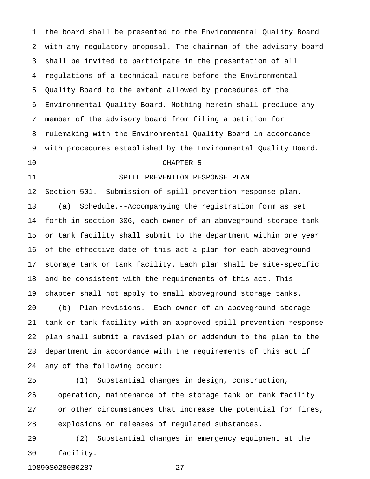1 the board shall be presented to the Environmental Quality Board 2 with any regulatory proposal. The chairman of the advisory board 3 shall be invited to participate in the presentation of all 4 regulations of a technical nature before the Environmental 5 Quality Board to the extent allowed by procedures of the 6 Environmental Quality Board. Nothing herein shall preclude any 7 member of the advisory board from filing a petition for 8 rulemaking with the Environmental Quality Board in accordance 9 with procedures established by the Environmental Quality Board.

10 CHAPTER 5

11 SPILL PREVENTION RESPONSE PLAN

12 Section 501. Submission of spill prevention response plan. 13 (a) Schedule.--Accompanying the registration form as set 14 forth in section 306, each owner of an aboveground storage tank 15 or tank facility shall submit to the department within one year 16 of the effective date of this act a plan for each aboveground 17 storage tank or tank facility. Each plan shall be site-specific 18 and be consistent with the requirements of this act. This 19 chapter shall not apply to small aboveground storage tanks. 20 (b) Plan revisions.--Each owner of an aboveground storage 21 tank or tank facility with an approved spill prevention response 22 plan shall submit a revised plan or addendum to the plan to the 23 department in accordance with the requirements of this act if 24 any of the following occur:

25 (1) Substantial changes in design, construction, 26 operation, maintenance of the storage tank or tank facility 27 or other circumstances that increase the potential for fires, 28 explosions or releases of regulated substances.

29 (2) Substantial changes in emergency equipment at the 30 facility.

19890S0280B0287 - 27 -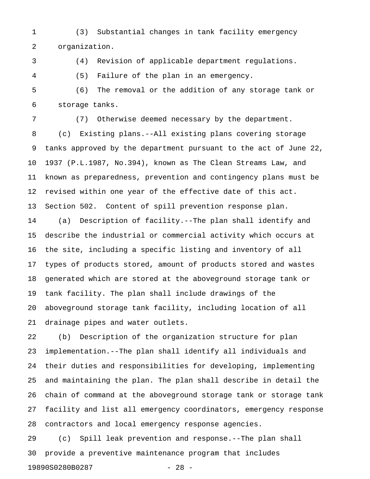1 (3) Substantial changes in tank facility emergency 2 organization.

3 (4) Revision of applicable department regulations.

4 (5) Failure of the plan in an emergency.

5 (6) The removal or the addition of any storage tank or 6 storage tanks.

7 (7) Otherwise deemed necessary by the department. 8 (c) Existing plans.--All existing plans covering storage 9 tanks approved by the department pursuant to the act of June 22, 10 1937 (P.L.1987, No.394), known as The Clean Streams Law, and 11 known as preparedness, prevention and contingency plans must be 12 revised within one year of the effective date of this act. 13 Section 502. Content of spill prevention response plan.

14 (a) Description of facility.--The plan shall identify and 15 describe the industrial or commercial activity which occurs at 16 the site, including a specific listing and inventory of all 17 types of products stored, amount of products stored and wastes 18 generated which are stored at the aboveground storage tank or 19 tank facility. The plan shall include drawings of the 20 aboveground storage tank facility, including location of all 21 drainage pipes and water outlets.

22 (b) Description of the organization structure for plan 23 implementation.--The plan shall identify all individuals and 24 their duties and responsibilities for developing, implementing 25 and maintaining the plan. The plan shall describe in detail the 26 chain of command at the aboveground storage tank or storage tank 27 facility and list all emergency coordinators, emergency response 28 contractors and local emergency response agencies.

29 (c) Spill leak prevention and response.--The plan shall 30 provide a preventive maintenance program that includes 19890S0280B0287 - 28 -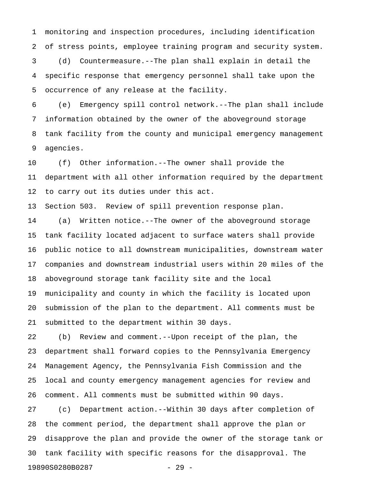1 monitoring and inspection procedures, including identification 2 of stress points, employee training program and security system.

3 (d) Countermeasure.--The plan shall explain in detail the 4 specific response that emergency personnel shall take upon the 5 occurrence of any release at the facility.

6 (e) Emergency spill control network.--The plan shall include 7 information obtained by the owner of the aboveground storage 8 tank facility from the county and municipal emergency management 9 agencies.

10 (f) Other information.--The owner shall provide the 11 department with all other information required by the department 12 to carry out its duties under this act.

13 Section 503. Review of spill prevention response plan.

14 (a) Written notice.--The owner of the aboveground storage 15 tank facility located adjacent to surface waters shall provide 16 public notice to all downstream municipalities, downstream water 17 companies and downstream industrial users within 20 miles of the 18 aboveground storage tank facility site and the local 19 municipality and county in which the facility is located upon 20 submission of the plan to the department. All comments must be 21 submitted to the department within 30 days.

22 (b) Review and comment.--Upon receipt of the plan, the 23 department shall forward copies to the Pennsylvania Emergency 24 Management Agency, the Pennsylvania Fish Commission and the 25 local and county emergency management agencies for review and 26 comment. All comments must be submitted within 90 days.

27 (c) Department action.--Within 30 days after completion of 28 the comment period, the department shall approve the plan or 29 disapprove the plan and provide the owner of the storage tank or 30 tank facility with specific reasons for the disapproval. The 19890S0280B0287 - 29 -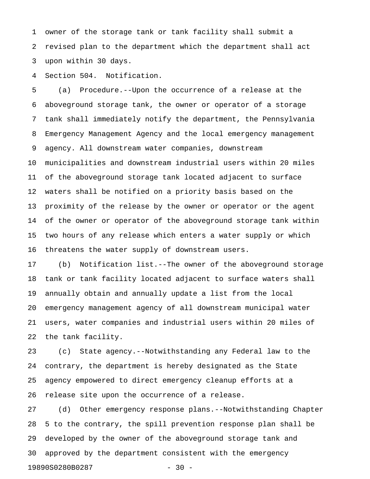1 owner of the storage tank or tank facility shall submit a 2 revised plan to the department which the department shall act 3 upon within 30 days.

4 Section 504. Notification.

5 (a) Procedure.--Upon the occurrence of a release at the 6 aboveground storage tank, the owner or operator of a storage 7 tank shall immediately notify the department, the Pennsylvania 8 Emergency Management Agency and the local emergency management 9 agency. All downstream water companies, downstream 10 municipalities and downstream industrial users within 20 miles 11 of the aboveground storage tank located adjacent to surface 12 waters shall be notified on a priority basis based on the 13 proximity of the release by the owner or operator or the agent 14 of the owner or operator of the aboveground storage tank within 15 two hours of any release which enters a water supply or which 16 threatens the water supply of downstream users.

17 (b) Notification list.--The owner of the aboveground storage 18 tank or tank facility located adjacent to surface waters shall 19 annually obtain and annually update a list from the local 20 emergency management agency of all downstream municipal water 21 users, water companies and industrial users within 20 miles of 22 the tank facility.

23 (c) State agency.--Notwithstanding any Federal law to the 24 contrary, the department is hereby designated as the State 25 agency empowered to direct emergency cleanup efforts at a 26 release site upon the occurrence of a release.

27 (d) Other emergency response plans.--Notwithstanding Chapter 28 5 to the contrary, the spill prevention response plan shall be 29 developed by the owner of the aboveground storage tank and 30 approved by the department consistent with the emergency 19890S0280B0287 - 30 -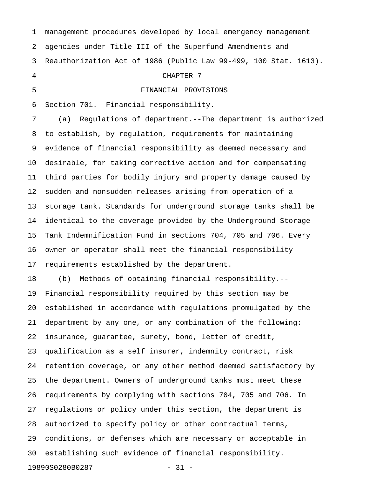1 management procedures developed by local emergency management 2 agencies under Title III of the Superfund Amendments and 3 Reauthorization Act of 1986 (Public Law 99-499, 100 Stat. 1613). 4 CHAPTER 7 5 FINANCIAL PROVISIONS 6 Section 701. Financial responsibility. 7 (a) Regulations of department.--The department is authorized 8 to establish, by regulation, requirements for maintaining 9 evidence of financial responsibility as deemed necessary and 10 desirable, for taking corrective action and for compensating 11 third parties for bodily injury and property damage caused by 12 sudden and nonsudden releases arising from operation of a 13 storage tank. Standards for underground storage tanks shall be 14 identical to the coverage provided by the Underground Storage 15 Tank Indemnification Fund in sections 704, 705 and 706. Every 16 owner or operator shall meet the financial responsibility 17 requirements established by the department. 18 (b) Methods of obtaining financial responsibility.-- 19 Financial responsibility required by this section may be 20 established in accordance with regulations promulgated by the 21 department by any one, or any combination of the following: 22 insurance, guarantee, surety, bond, letter of credit, 23 qualification as a self insurer, indemnity contract, risk 24 retention coverage, or any other method deemed satisfactory by 25 the department. Owners of underground tanks must meet these 26 requirements by complying with sections 704, 705 and 706. In 27 regulations or policy under this section, the department is

28 authorized to specify policy or other contractual terms, 29 conditions, or defenses which are necessary or acceptable in 30 establishing such evidence of financial responsibility.

19890S0280B0287 - 31 -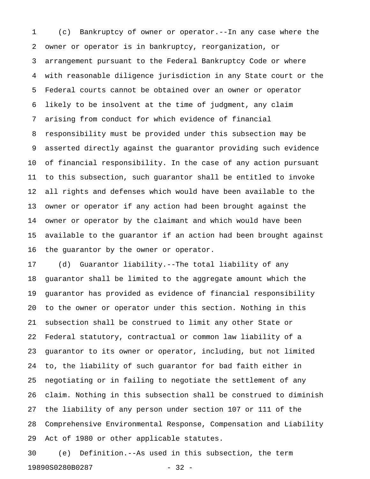1 (c) Bankruptcy of owner or operator.--In any case where the 2 owner or operator is in bankruptcy, reorganization, or 3 arrangement pursuant to the Federal Bankruptcy Code or where 4 with reasonable diligence jurisdiction in any State court or the 5 Federal courts cannot be obtained over an owner or operator 6 likely to be insolvent at the time of judgment, any claim 7 arising from conduct for which evidence of financial 8 responsibility must be provided under this subsection may be 9 asserted directly against the guarantor providing such evidence 10 of financial responsibility. In the case of any action pursuant 11 to this subsection, such guarantor shall be entitled to invoke 12 all rights and defenses which would have been available to the 13 owner or operator if any action had been brought against the 14 owner or operator by the claimant and which would have been 15 available to the guarantor if an action had been brought against 16 the guarantor by the owner or operator.

17 (d) Guarantor liability.--The total liability of any 18 guarantor shall be limited to the aggregate amount which the 19 guarantor has provided as evidence of financial responsibility 20 to the owner or operator under this section. Nothing in this 21 subsection shall be construed to limit any other State or 22 Federal statutory, contractual or common law liability of a 23 guarantor to its owner or operator, including, but not limited 24 to, the liability of such guarantor for bad faith either in 25 negotiating or in failing to negotiate the settlement of any 26 claim. Nothing in this subsection shall be construed to diminish 27 the liability of any person under section 107 or 111 of the 28 Comprehensive Environmental Response, Compensation and Liability 29 Act of 1980 or other applicable statutes.

30 (e) Definition.--As used in this subsection, the term 19890S0280B0287 - 32 -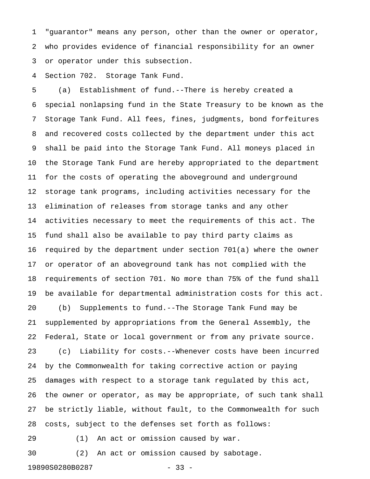1 "guarantor" means any person, other than the owner or operator, 2 who provides evidence of financial responsibility for an owner 3 or operator under this subsection.

4 Section 702. Storage Tank Fund.

5 (a) Establishment of fund.--There is hereby created a 6 special nonlapsing fund in the State Treasury to be known as the 7 Storage Tank Fund. All fees, fines, judgments, bond forfeitures 8 and recovered costs collected by the department under this act 9 shall be paid into the Storage Tank Fund. All moneys placed in 10 the Storage Tank Fund are hereby appropriated to the department 11 for the costs of operating the aboveground and underground 12 storage tank programs, including activities necessary for the 13 elimination of releases from storage tanks and any other 14 activities necessary to meet the requirements of this act. The 15 fund shall also be available to pay third party claims as 16 required by the department under section 701(a) where the owner 17 or operator of an aboveground tank has not complied with the 18 requirements of section 701. No more than 75% of the fund shall 19 be available for departmental administration costs for this act. 20 (b) Supplements to fund.--The Storage Tank Fund may be 21 supplemented by appropriations from the General Assembly, the 22 Federal, State or local government or from any private source. 23 (c) Liability for costs.--Whenever costs have been incurred 24 by the Commonwealth for taking corrective action or paying 25 damages with respect to a storage tank regulated by this act, 26 the owner or operator, as may be appropriate, of such tank shall 27 be strictly liable, without fault, to the Commonwealth for such 28 costs, subject to the defenses set forth as follows:

29 (1) An act or omission caused by war.

30 (2) An act or omission caused by sabotage.

19890S0280B0287 - 33 -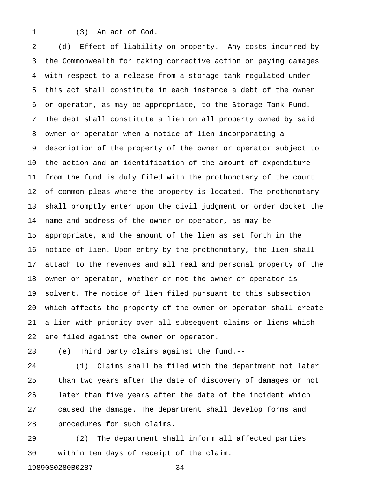1 (3) An act of God.

2 (d) Effect of liability on property.--Any costs incurred by 3 the Commonwealth for taking corrective action or paying damages 4 with respect to a release from a storage tank regulated under 5 this act shall constitute in each instance a debt of the owner 6 or operator, as may be appropriate, to the Storage Tank Fund. 7 The debt shall constitute a lien on all property owned by said 8 owner or operator when a notice of lien incorporating a 9 description of the property of the owner or operator subject to 10 the action and an identification of the amount of expenditure 11 from the fund is duly filed with the prothonotary of the court 12 of common pleas where the property is located. The prothonotary 13 shall promptly enter upon the civil judgment or order docket the 14 name and address of the owner or operator, as may be 15 appropriate, and the amount of the lien as set forth in the 16 notice of lien. Upon entry by the prothonotary, the lien shall 17 attach to the revenues and all real and personal property of the 18 owner or operator, whether or not the owner or operator is 19 solvent. The notice of lien filed pursuant to this subsection 20 which affects the property of the owner or operator shall create 21 a lien with priority over all subsequent claims or liens which 22 are filed against the owner or operator.

23 (e) Third party claims against the fund.--

24 (1) Claims shall be filed with the department not later 25 than two years after the date of discovery of damages or not 26 later than five years after the date of the incident which 27 caused the damage. The department shall develop forms and 28 procedures for such claims.

29 (2) The department shall inform all affected parties 30 within ten days of receipt of the claim.

19890S0280B0287 - 34 -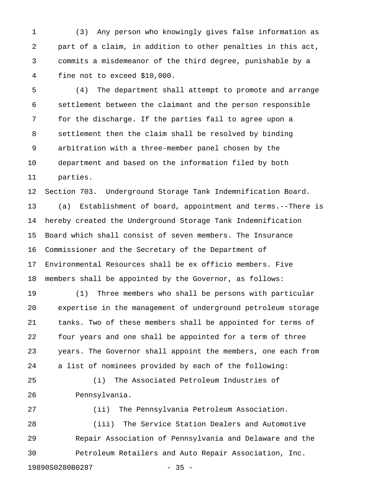1 (3) Any person who knowingly gives false information as 2 part of a claim, in addition to other penalties in this act, 3 commits a misdemeanor of the third degree, punishable by a 4 fine not to exceed \$10,000.

5 (4) The department shall attempt to promote and arrange 6 settlement between the claimant and the person responsible 7 for the discharge. If the parties fail to agree upon a 8 settlement then the claim shall be resolved by binding 9 arbitration with a three-member panel chosen by the 10 department and based on the information filed by both 11 parties.

12 Section 703. Underground Storage Tank Indemnification Board. 13 (a) Establishment of board, appointment and terms.--There is 14 hereby created the Underground Storage Tank Indemnification 15 Board which shall consist of seven members. The Insurance 16 Commissioner and the Secretary of the Department of 17 Environmental Resources shall be ex officio members. Five 18 members shall be appointed by the Governor, as follows:

19 (1) Three members who shall be persons with particular 20 expertise in the management of underground petroleum storage 21 tanks. Two of these members shall be appointed for terms of 22 four years and one shall be appointed for a term of three 23 years. The Governor shall appoint the members, one each from 24 a list of nominees provided by each of the following:

25 (i) The Associated Petroleum Industries of 26 Pennsylvania.

27 (ii) The Pennsylvania Petroleum Association. 28 (iii) The Service Station Dealers and Automotive 29 Repair Association of Pennsylvania and Delaware and the 30 Petroleum Retailers and Auto Repair Association, Inc. 19890S0280B0287 - 35 -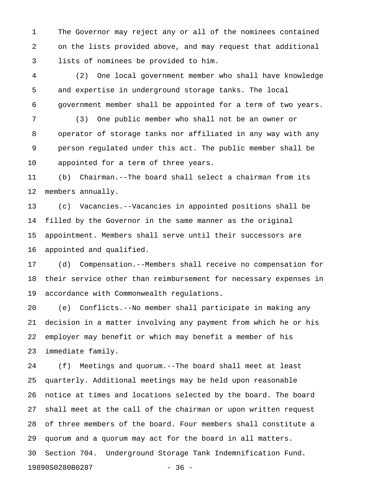1 The Governor may reject any or all of the nominees contained 2 on the lists provided above, and may request that additional 3 lists of nominees be provided to him.

4 (2) One local government member who shall have knowledge 5 and expertise in underground storage tanks. The local 6 government member shall be appointed for a term of two years.

7 (3) One public member who shall not be an owner or 8 operator of storage tanks nor affiliated in any way with any 9 person regulated under this act. The public member shall be 10 appointed for a term of three years.

11 (b) Chairman.--The board shall select a chairman from its 12 members annually.

13 (c) Vacancies.--Vacancies in appointed positions shall be 14 filled by the Governor in the same manner as the original 15 appointment. Members shall serve until their successors are 16 appointed and qualified.

17 (d) Compensation.--Members shall receive no compensation for 18 their service other than reimbursement for necessary expenses in 19 accordance with Commonwealth regulations.

20 (e) Conflicts.--No member shall participate in making any 21 decision in a matter involving any payment from which he or his 22 employer may benefit or which may benefit a member of his 23 immediate family.

24 (f) Meetings and quorum.--The board shall meet at least 25 quarterly. Additional meetings may be held upon reasonable 26 notice at times and locations selected by the board. The board 27 shall meet at the call of the chairman or upon written request 28 of three members of the board. Four members shall constitute a 29 quorum and a quorum may act for the board in all matters. 30 Section 704. Underground Storage Tank Indemnification Fund. 19890S0280B0287 - 36 -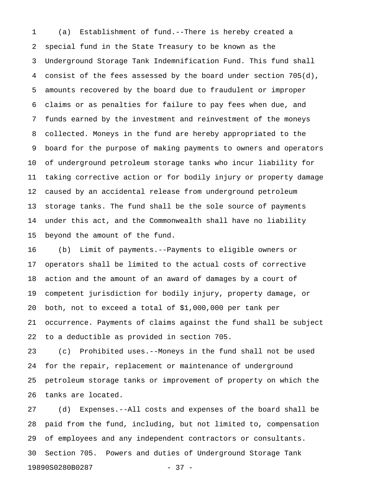1 (a) Establishment of fund.--There is hereby created a 2 special fund in the State Treasury to be known as the 3 Underground Storage Tank Indemnification Fund. This fund shall 4 consist of the fees assessed by the board under section 705(d), 5 amounts recovered by the board due to fraudulent or improper 6 claims or as penalties for failure to pay fees when due, and 7 funds earned by the investment and reinvestment of the moneys 8 collected. Moneys in the fund are hereby appropriated to the 9 board for the purpose of making payments to owners and operators 10 of underground petroleum storage tanks who incur liability for 11 taking corrective action or for bodily injury or property damage 12 caused by an accidental release from underground petroleum 13 storage tanks. The fund shall be the sole source of payments 14 under this act, and the Commonwealth shall have no liability 15 beyond the amount of the fund.

16 (b) Limit of payments.--Payments to eligible owners or 17 operators shall be limited to the actual costs of corrective 18 action and the amount of an award of damages by a court of 19 competent jurisdiction for bodily injury, property damage, or 20 both, not to exceed a total of \$1,000,000 per tank per 21 occurrence. Payments of claims against the fund shall be subject 22 to a deductible as provided in section 705.

23 (c) Prohibited uses.--Moneys in the fund shall not be used 24 for the repair, replacement or maintenance of underground 25 petroleum storage tanks or improvement of property on which the 26 tanks are located.

27 (d) Expenses.--All costs and expenses of the board shall be 28 paid from the fund, including, but not limited to, compensation 29 of employees and any independent contractors or consultants. 30 Section 705. Powers and duties of Underground Storage Tank 19890S0280B0287 - 37 -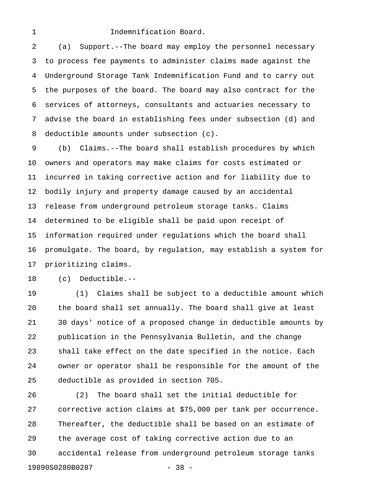#### 1 **Indemnification Board.**

2 (a) Support.--The board may employ the personnel necessary 3 to process fee payments to administer claims made against the 4 Underground Storage Tank Indemnification Fund and to carry out 5 the purposes of the board. The board may also contract for the 6 services of attorneys, consultants and actuaries necessary to 7 advise the board in establishing fees under subsection (d) and 8 deductible amounts under subsection (c).

9 (b) Claims.--The board shall establish procedures by which 10 owners and operators may make claims for costs estimated or 11 incurred in taking corrective action and for liability due to 12 bodily injury and property damage caused by an accidental 13 release from underground petroleum storage tanks. Claims 14 determined to be eligible shall be paid upon receipt of 15 information required under regulations which the board shall 16 promulgate. The board, by regulation, may establish a system for 17 prioritizing claims.

18 (c) Deductible.--

19 (1) Claims shall be subject to a deductible amount which 20 the board shall set annually. The board shall give at least 21 30 days' notice of a proposed change in deductible amounts by 22 publication in the Pennsylvania Bulletin, and the change 23 shall take effect on the date specified in the notice. Each 24 owner or operator shall be responsible for the amount of the 25 deductible as provided in section 705.

26 (2) The board shall set the initial deductible for 27 corrective action claims at \$75,000 per tank per occurrence. 28 Thereafter, the deductible shall be based on an estimate of 29 the average cost of taking corrective action due to an 30 accidental release from underground petroleum storage tanks 19890S0280B0287 - 38 -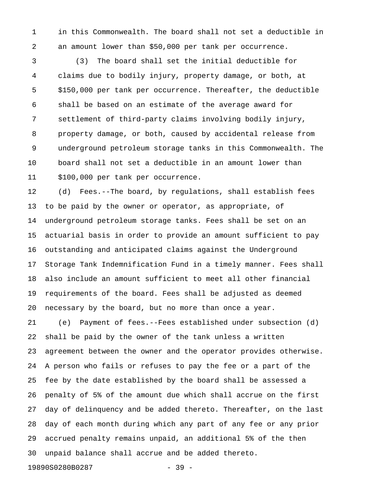1 in this Commonwealth. The board shall not set a deductible in 2 an amount lower than \$50,000 per tank per occurrence.

3 (3) The board shall set the initial deductible for 4 claims due to bodily injury, property damage, or both, at 5 \$150,000 per tank per occurrence. Thereafter, the deductible 6 shall be based on an estimate of the average award for 7 settlement of third-party claims involving bodily injury, 8 property damage, or both, caused by accidental release from 9 underground petroleum storage tanks in this Commonwealth. The 10 board shall not set a deductible in an amount lower than 11 \$100,000 per tank per occurrence.

12 (d) Fees.--The board, by regulations, shall establish fees 13 to be paid by the owner or operator, as appropriate, of 14 underground petroleum storage tanks. Fees shall be set on an 15 actuarial basis in order to provide an amount sufficient to pay 16 outstanding and anticipated claims against the Underground 17 Storage Tank Indemnification Fund in a timely manner. Fees shall 18 also include an amount sufficient to meet all other financial 19 requirements of the board. Fees shall be adjusted as deemed 20 necessary by the board, but no more than once a year.

21 (e) Payment of fees.--Fees established under subsection (d) 22 shall be paid by the owner of the tank unless a written 23 agreement between the owner and the operator provides otherwise. 24 A person who fails or refuses to pay the fee or a part of the 25 fee by the date established by the board shall be assessed a 26 penalty of 5% of the amount due which shall accrue on the first 27 day of delinquency and be added thereto. Thereafter, on the last 28 day of each month during which any part of any fee or any prior 29 accrued penalty remains unpaid, an additional 5% of the then 30 unpaid balance shall accrue and be added thereto.

19890S0280B0287 - 39 -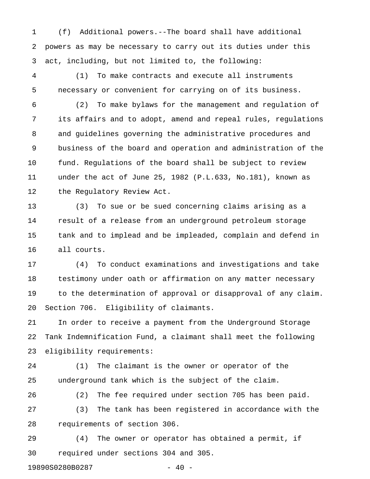1 (f) Additional powers.--The board shall have additional 2 powers as may be necessary to carry out its duties under this 3 act, including, but not limited to, the following:

4 (1) To make contracts and execute all instruments 5 necessary or convenient for carrying on of its business.

6 (2) To make bylaws for the management and regulation of 7 its affairs and to adopt, amend and repeal rules, regulations 8 and guidelines governing the administrative procedures and 9 business of the board and operation and administration of the 10 fund. Regulations of the board shall be subject to review 11 under the act of June 25, 1982 (P.L.633, No.181), known as 12 the Regulatory Review Act.

13 (3) To sue or be sued concerning claims arising as a 14 result of a release from an underground petroleum storage 15 tank and to implead and be impleaded, complain and defend in 16 all courts.

17 (4) To conduct examinations and investigations and take 18 testimony under oath or affirmation on any matter necessary 19 to the determination of approval or disapproval of any claim. 20 Section 706. Eligibility of claimants.

21 In order to receive a payment from the Underground Storage 22 Tank Indemnification Fund, a claimant shall meet the following 23 eligibility requirements:

24 (1) The claimant is the owner or operator of the 25 underground tank which is the subject of the claim.

26 (2) The fee required under section 705 has been paid. 27 (3) The tank has been registered in accordance with the 28 requirements of section 306.

29 (4) The owner or operator has obtained a permit, if 30 required under sections 304 and 305.

19890S0280B0287 - 40 -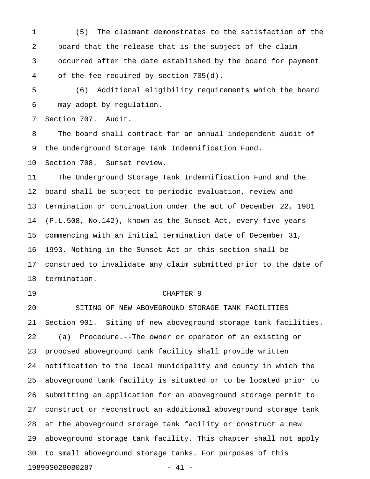1 (5) The claimant demonstrates to the satisfaction of the 2 board that the release that is the subject of the claim 3 occurred after the date established by the board for payment 4 of the fee required by section 705(d).

5 (6) Additional eligibility requirements which the board 6 may adopt by regulation.

7 Section 707. Audit.

8 The board shall contract for an annual independent audit of 9 the Underground Storage Tank Indemnification Fund.

10 Section 708. Sunset review.

11 The Underground Storage Tank Indemnification Fund and the 12 board shall be subject to periodic evaluation, review and 13 termination or continuation under the act of December 22, 1981 14 (P.L.508, No.142), known as the Sunset Act, every five years 15 commencing with an initial termination date of December 31, 16 1993. Nothing in the Sunset Act or this section shall be 17 construed to invalidate any claim submitted prior to the date of 18 termination.

#### 19 CHAPTER 9

20 SITING OF NEW ABOVEGROUND STORAGE TANK FACILITIES 21 Section 901. Siting of new aboveground storage tank facilities. 22 (a) Procedure.--The owner or operator of an existing or 23 proposed aboveground tank facility shall provide written 24 notification to the local municipality and county in which the 25 aboveground tank facility is situated or to be located prior to 26 submitting an application for an aboveground storage permit to 27 construct or reconstruct an additional aboveground storage tank 28 at the aboveground storage tank facility or construct a new 29 aboveground storage tank facility. This chapter shall not apply 30 to small aboveground storage tanks. For purposes of this 19890S0280B0287 - 41 -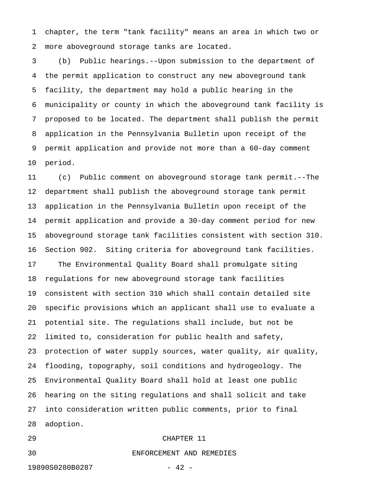1 chapter, the term "tank facility" means an area in which two or 2 more aboveground storage tanks are located.

3 (b) Public hearings.--Upon submission to the department of 4 the permit application to construct any new aboveground tank 5 facility, the department may hold a public hearing in the 6 municipality or county in which the aboveground tank facility is 7 proposed to be located. The department shall publish the permit 8 application in the Pennsylvania Bulletin upon receipt of the 9 permit application and provide not more than a 60-day comment 10 period.

11 (c) Public comment on aboveground storage tank permit.--The 12 department shall publish the aboveground storage tank permit 13 application in the Pennsylvania Bulletin upon receipt of the 14 permit application and provide a 30-day comment period for new 15 aboveground storage tank facilities consistent with section 310. 16 Section 902. Siting criteria for aboveground tank facilities. 17 The Environmental Quality Board shall promulgate siting 18 regulations for new aboveground storage tank facilities 19 consistent with section 310 which shall contain detailed site 20 specific provisions which an applicant shall use to evaluate a 21 potential site. The regulations shall include, but not be 22 limited to, consideration for public health and safety, 23 protection of water supply sources, water quality, air quality, 24 flooding, topography, soil conditions and hydrogeology. The 25 Environmental Quality Board shall hold at least one public 26 hearing on the siting regulations and shall solicit and take 27 into consideration written public comments, prior to final 28 adoption.

## 29 CHAPTER 11

19890S0280B0287 - 42 -

30 ENFORCEMENT AND REMEDIES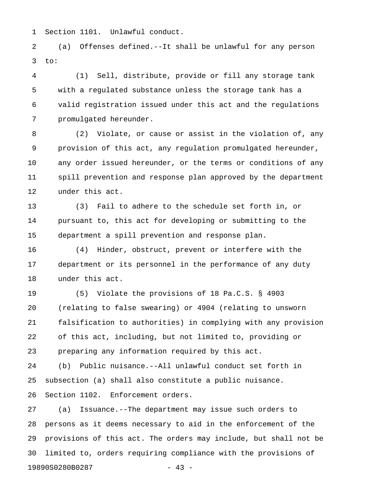1 Section 1101. Unlawful conduct.

2 (a) Offenses defined.--It shall be unlawful for any person  $3$  to:

4 (1) Sell, distribute, provide or fill any storage tank 5 with a regulated substance unless the storage tank has a 6 valid registration issued under this act and the regulations 7 promulgated hereunder.

8 (2) Violate, or cause or assist in the violation of, any 9 provision of this act, any regulation promulgated hereunder, 10 any order issued hereunder, or the terms or conditions of any 11 spill prevention and response plan approved by the department 12 under this act.

13 (3) Fail to adhere to the schedule set forth in, or 14 pursuant to, this act for developing or submitting to the 15 department a spill prevention and response plan.

16 (4) Hinder, obstruct, prevent or interfere with the 17 department or its personnel in the performance of any duty 18 under this act.

19 (5) Violate the provisions of 18 Pa.C.S. § 4903 20 (relating to false swearing) or 4904 (relating to unsworn 21 falsification to authorities) in complying with any provision 22 of this act, including, but not limited to, providing or 23 preparing any information required by this act.

24 (b) Public nuisance.--All unlawful conduct set forth in 25 subsection (a) shall also constitute a public nuisance. 26 Section 1102. Enforcement orders.

27 (a) Issuance.--The department may issue such orders to 28 persons as it deems necessary to aid in the enforcement of the 29 provisions of this act. The orders may include, but shall not be 30 limited to, orders requiring compliance with the provisions of 19890S0280B0287 - 43 -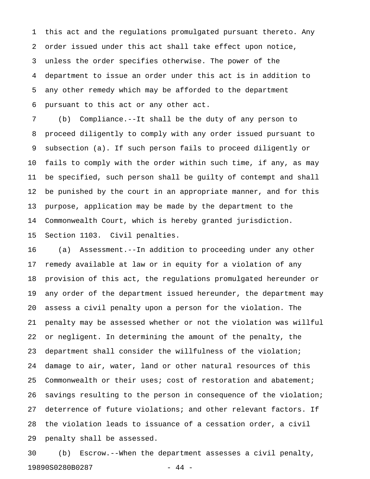1 this act and the regulations promulgated pursuant thereto. Any 2 order issued under this act shall take effect upon notice, 3 unless the order specifies otherwise. The power of the 4 department to issue an order under this act is in addition to 5 any other remedy which may be afforded to the department 6 pursuant to this act or any other act.

7 (b) Compliance.--It shall be the duty of any person to 8 proceed diligently to comply with any order issued pursuant to 9 subsection (a). If such person fails to proceed diligently or 10 fails to comply with the order within such time, if any, as may 11 be specified, such person shall be guilty of contempt and shall 12 be punished by the court in an appropriate manner, and for this 13 purpose, application may be made by the department to the 14 Commonwealth Court, which is hereby granted jurisdiction. 15 Section 1103. Civil penalties.

16 (a) Assessment.--In addition to proceeding under any other 17 remedy available at law or in equity for a violation of any 18 provision of this act, the regulations promulgated hereunder or 19 any order of the department issued hereunder, the department may 20 assess a civil penalty upon a person for the violation. The 21 penalty may be assessed whether or not the violation was willful 22 or negligent. In determining the amount of the penalty, the 23 department shall consider the willfulness of the violation; 24 damage to air, water, land or other natural resources of this 25 Commonwealth or their uses; cost of restoration and abatement; 26 savings resulting to the person in consequence of the violation; 27 deterrence of future violations; and other relevant factors. If 28 the violation leads to issuance of a cessation order, a civil 29 penalty shall be assessed.

30 (b) Escrow.--When the department assesses a civil penalty, 19890S0280B0287 - 44 -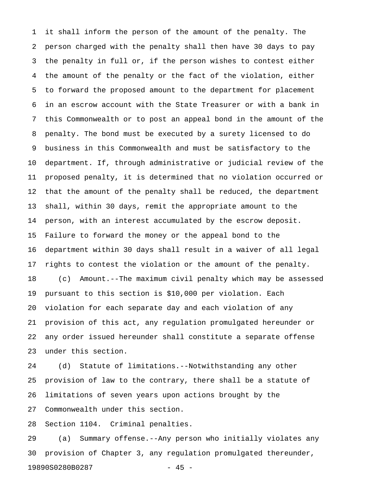1 it shall inform the person of the amount of the penalty. The 2 person charged with the penalty shall then have 30 days to pay 3 the penalty in full or, if the person wishes to contest either 4 the amount of the penalty or the fact of the violation, either 5 to forward the proposed amount to the department for placement 6 in an escrow account with the State Treasurer or with a bank in 7 this Commonwealth or to post an appeal bond in the amount of the 8 penalty. The bond must be executed by a surety licensed to do 9 business in this Commonwealth and must be satisfactory to the 10 department. If, through administrative or judicial review of the 11 proposed penalty, it is determined that no violation occurred or 12 that the amount of the penalty shall be reduced, the department 13 shall, within 30 days, remit the appropriate amount to the 14 person, with an interest accumulated by the escrow deposit. 15 Failure to forward the money or the appeal bond to the 16 department within 30 days shall result in a waiver of all legal 17 rights to contest the violation or the amount of the penalty. 18 (c) Amount.--The maximum civil penalty which may be assessed 19 pursuant to this section is \$10,000 per violation. Each 20 violation for each separate day and each violation of any 21 provision of this act, any regulation promulgated hereunder or 22 any order issued hereunder shall constitute a separate offense 23 under this section.

24 (d) Statute of limitations.--Notwithstanding any other 25 provision of law to the contrary, there shall be a statute of 26 limitations of seven years upon actions brought by the 27 Commonwealth under this section.

28 Section 1104. Criminal penalties.

29 (a) Summary offense.--Any person who initially violates any 30 provision of Chapter 3, any regulation promulgated thereunder, 19890S0280B0287 - 45 -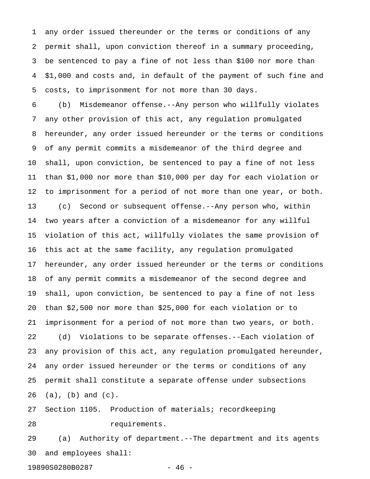1 any order issued thereunder or the terms or conditions of any 2 permit shall, upon conviction thereof in a summary proceeding, 3 be sentenced to pay a fine of not less than \$100 nor more than 4 \$1,000 and costs and, in default of the payment of such fine and 5 costs, to imprisonment for not more than 30 days.

6 (b) Misdemeanor offense.--Any person who willfully violates 7 any other provision of this act, any regulation promulgated 8 hereunder, any order issued hereunder or the terms or conditions 9 of any permit commits a misdemeanor of the third degree and 10 shall, upon conviction, be sentenced to pay a fine of not less 11 than \$1,000 nor more than \$10,000 per day for each violation or 12 to imprisonment for a period of not more than one year, or both. 13 (c) Second or subsequent offense.--Any person who, within 14 two years after a conviction of a misdemeanor for any willful 15 violation of this act, willfully violates the same provision of 16 this act at the same facility, any regulation promulgated 17 hereunder, any order issued hereunder or the terms or conditions 18 of any permit commits a misdemeanor of the second degree and 19 shall, upon conviction, be sentenced to pay a fine of not less 20 than \$2,500 nor more than \$25,000 for each violation or to 21 imprisonment for a period of not more than two years, or both. 22 (d) Violations to be separate offenses.--Each violation of 23 any provision of this act, any regulation promulgated hereunder, 24 any order issued hereunder or the terms or conditions of any 25 permit shall constitute a separate offense under subsections 26 (a), (b) and (c).

27 Section 1105. Production of materials; recordkeeping 28 requirements.

29 (a) Authority of department.--The department and its agents 30 and employees shall:

19890S0280B0287 - 46 -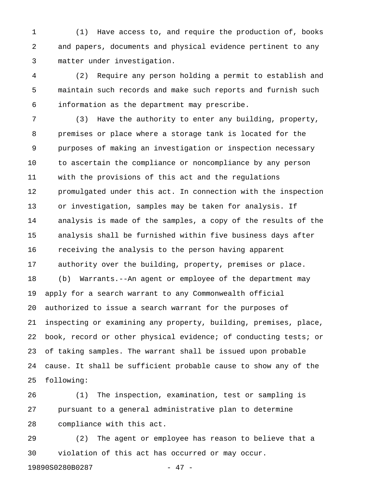1 (1) Have access to, and require the production of, books 2 and papers, documents and physical evidence pertinent to any 3 matter under investigation.

4 (2) Require any person holding a permit to establish and 5 maintain such records and make such reports and furnish such 6 information as the department may prescribe.

7 (3) Have the authority to enter any building, property, 8 premises or place where a storage tank is located for the 9 purposes of making an investigation or inspection necessary 10 to ascertain the compliance or noncompliance by any person 11 with the provisions of this act and the regulations 12 promulgated under this act. In connection with the inspection 13 or investigation, samples may be taken for analysis. If 14 analysis is made of the samples, a copy of the results of the 15 analysis shall be furnished within five business days after 16 receiving the analysis to the person having apparent 17 authority over the building, property, premises or place. 18 (b) Warrants.--An agent or employee of the department may 19 apply for a search warrant to any Commonwealth official 20 authorized to issue a search warrant for the purposes of 21 inspecting or examining any property, building, premises, place, 22 book, record or other physical evidence; of conducting tests; or 23 of taking samples. The warrant shall be issued upon probable 24 cause. It shall be sufficient probable cause to show any of the 25 following:

26 (1) The inspection, examination, test or sampling is 27 pursuant to a general administrative plan to determine 28 compliance with this act.

29 (2) The agent or employee has reason to believe that a 30 violation of this act has occurred or may occur.

19890S0280B0287 - 47 -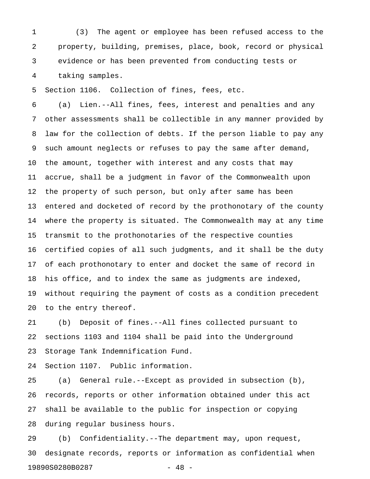1 (3) The agent or employee has been refused access to the 2 property, building, premises, place, book, record or physical 3 evidence or has been prevented from conducting tests or 4 taking samples.

5 Section 1106. Collection of fines, fees, etc.

6 (a) Lien.--All fines, fees, interest and penalties and any 7 other assessments shall be collectible in any manner provided by 8 law for the collection of debts. If the person liable to pay any 9 such amount neglects or refuses to pay the same after demand, 10 the amount, together with interest and any costs that may 11 accrue, shall be a judgment in favor of the Commonwealth upon 12 the property of such person, but only after same has been 13 entered and docketed of record by the prothonotary of the county 14 where the property is situated. The Commonwealth may at any time 15 transmit to the prothonotaries of the respective counties 16 certified copies of all such judgments, and it shall be the duty 17 of each prothonotary to enter and docket the same of record in 18 his office, and to index the same as judgments are indexed, 19 without requiring the payment of costs as a condition precedent 20 to the entry thereof.

21 (b) Deposit of fines.--All fines collected pursuant to 22 sections 1103 and 1104 shall be paid into the Underground 23 Storage Tank Indemnification Fund.

24 Section 1107. Public information.

25 (a) General rule.--Except as provided in subsection (b), 26 records, reports or other information obtained under this act 27 shall be available to the public for inspection or copying 28 during regular business hours.

29 (b) Confidentiality.--The department may, upon request, 30 designate records, reports or information as confidential when 19890S0280B0287 - 48 -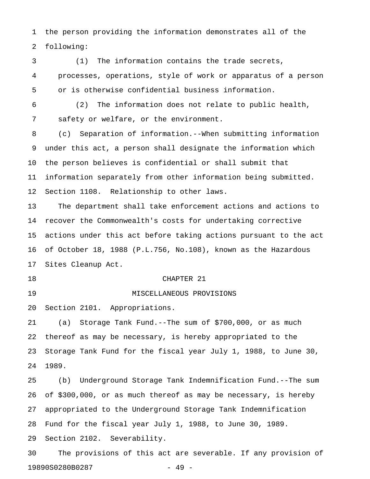1 the person providing the information demonstrates all of the 2 following:

3 (1) The information contains the trade secrets, 4 processes, operations, style of work or apparatus of a person 5 or is otherwise confidential business information.

6 (2) The information does not relate to public health, 7 safety or welfare, or the environment.

8 (c) Separation of information.--When submitting information 9 under this act, a person shall designate the information which 10 the person believes is confidential or shall submit that 11 information separately from other information being submitted. 12 Section 1108. Relationship to other laws.

13 The department shall take enforcement actions and actions to 14 recover the Commonwealth's costs for undertaking corrective 15 actions under this act before taking actions pursuant to the act 16 of October 18, 1988 (P.L.756, No.108), known as the Hazardous 17 Sites Cleanup Act.

#### 18 CHAPTER 21

19 MISCELLANEOUS PROVISIONS

20 Section 2101. Appropriations.

21 (a) Storage Tank Fund.--The sum of \$700,000, or as much 22 thereof as may be necessary, is hereby appropriated to the 23 Storage Tank Fund for the fiscal year July 1, 1988, to June 30, 24 1989.

25 (b) Underground Storage Tank Indemnification Fund.--The sum 26 of \$300,000, or as much thereof as may be necessary, is hereby 27 appropriated to the Underground Storage Tank Indemnification 28 Fund for the fiscal year July 1, 1988, to June 30, 1989. 29 Section 2102. Severability.

30 The provisions of this act are severable. If any provision of 19890S0280B0287 - 49 -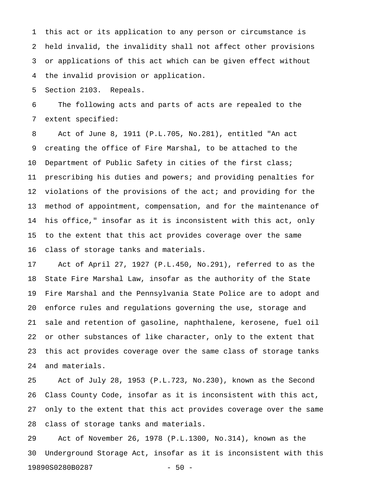1 this act or its application to any person or circumstance is 2 held invalid, the invalidity shall not affect other provisions 3 or applications of this act which can be given effect without 4 the invalid provision or application.

5 Section 2103. Repeals.

6 The following acts and parts of acts are repealed to the 7 extent specified:

8 Act of June 8, 1911 (P.L.705, No.281), entitled "An act 9 creating the office of Fire Marshal, to be attached to the 10 Department of Public Safety in cities of the first class; 11 prescribing his duties and powers; and providing penalties for 12 violations of the provisions of the act; and providing for the 13 method of appointment, compensation, and for the maintenance of 14 his office," insofar as it is inconsistent with this act, only 15 to the extent that this act provides coverage over the same 16 class of storage tanks and materials.

17 Act of April 27, 1927 (P.L.450, No.291), referred to as the 18 State Fire Marshal Law, insofar as the authority of the State 19 Fire Marshal and the Pennsylvania State Police are to adopt and 20 enforce rules and regulations governing the use, storage and 21 sale and retention of gasoline, naphthalene, kerosene, fuel oil 22 or other substances of like character, only to the extent that 23 this act provides coverage over the same class of storage tanks 24 and materials.

25 Act of July 28, 1953 (P.L.723, No.230), known as the Second 26 Class County Code, insofar as it is inconsistent with this act, 27 only to the extent that this act provides coverage over the same 28 class of storage tanks and materials.

29 Act of November 26, 1978 (P.L.1300, No.314), known as the 30 Underground Storage Act, insofar as it is inconsistent with this 19890S0280B0287 - 50 -